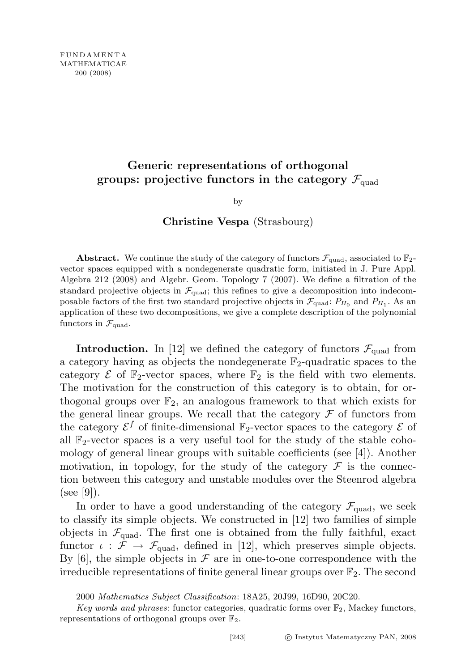# Generic representations of orthogonal groups: projective functors in the category  $\mathcal{F}_{quad}$

by

### Christine Vespa (Strasbourg)

**Abstract.** We continue the study of the category of functors  $\mathcal{F}_{quad}$  associated to  $\mathbb{F}_{2}$ vector spaces equipped with a nondegenerate quadratic form, initiated in J. Pure Appl. Algebra 212 (2008) and Algebr. Geom. Topology 7 (2007). We define a filtration of the standard projective objects in  $\mathcal{F}_{quad}$ ; this refines to give a decomposition into indecomposable factors of the first two standard projective objects in  $\mathcal{F}_{quad}$  and  $P_{H_1}$ . As an application of these two decompositions, we give a complete description of the polynomial functors in  $\mathcal{F}_{\text{quad}}$ .

**Introduction.** In [12] we defined the category of functors  $\mathcal{F}_{quad}$  from a category having as objects the nondegenerate  $\mathbb{F}_2$ -quadratic spaces to the category  $\mathcal E$  of  $\mathbb F_2$ -vector spaces, where  $\mathbb F_2$  is the field with two elements. The motivation for the construction of this category is to obtain, for orthogonal groups over  $\mathbb{F}_2$ , an analogous framework to that which exists for the general linear groups. We recall that the category  $\mathcal F$  of functors from the category  $\mathcal{E}^f$  of finite-dimensional  $\mathbb{F}_2$ -vector spaces to the category  $\mathcal E$  of all  $\mathbb{F}_2$ -vector spaces is a very useful tool for the study of the stable cohomology of general linear groups with suitable coefficients (see [4]). Another motivation, in topology, for the study of the category  $\mathcal F$  is the connection between this category and unstable modules over the Steenrod algebra  $(see |9|).$ 

In order to have a good understanding of the category  $\mathcal{F}_{quad}$ , we seek to classify its simple objects. We constructed in [12] two families of simple objects in  $\mathcal{F}_{quad}$ . The first one is obtained from the fully faithful, exact functor  $\iota : \mathcal{F} \to \mathcal{F}_{quad}$ , defined in [12], which preserves simple objects. By [6], the simple objects in  $\mathcal F$  are in one-to-one correspondence with the irreducible representations of finite general linear groups over  $\mathbb{F}_2$ . The second

<sup>2000</sup> Mathematics Subject Classification: 18A25, 20J99, 16D90, 20C20.

Key words and phrases: functor categories, quadratic forms over  $\mathbb{F}_2$ , Mackey functors, representations of orthogonal groups over  $\mathbb{F}_2$ .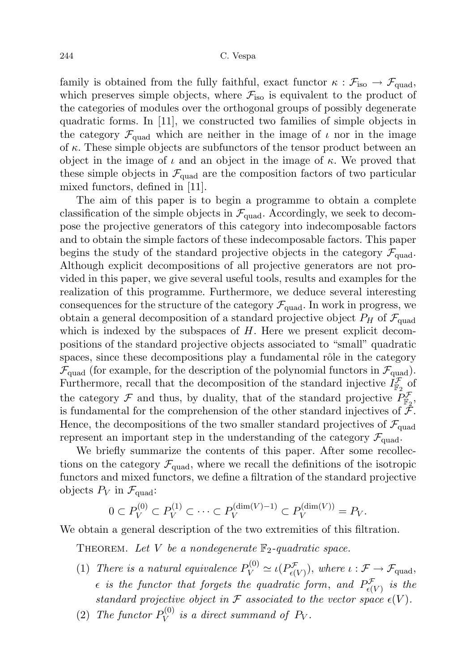family is obtained from the fully faithful, exact functor  $\kappa$  :  $\mathcal{F}_{\text{iso}} \to \mathcal{F}_{\text{quad}}$ , which preserves simple objects, where  $\mathcal{F}_{\text{iso}}$  is equivalent to the product of the categories of modules over the orthogonal groups of possibly degenerate quadratic forms. In [11], we constructed two families of simple objects in the category  $\mathcal{F}_{quad}$  which are neither in the image of  $\iota$  nor in the image of  $\kappa$ . These simple objects are subfunctors of the tensor product between an object in the image of  $\iota$  and an object in the image of  $\kappa$ . We proved that these simple objects in  $\mathcal{F}_{quad}$  are the composition factors of two particular mixed functors, defined in [11].

The aim of this paper is to begin a programme to obtain a complete classification of the simple objects in  $\mathcal{F}_{quad}$ . Accordingly, we seek to decompose the projective generators of this category into indecomposable factors and to obtain the simple factors of these indecomposable factors. This paper begins the study of the standard projective objects in the category  $\mathcal{F}_{quad}$ . Although explicit decompositions of all projective generators are not provided in this paper, we give several useful tools, results and examples for the realization of this programme. Furthermore, we deduce several interesting consequences for the structure of the category  $\mathcal{F}_{quad}$ . In work in progress, we obtain a general decomposition of a standard projective object  $P_H$  of  $\mathcal{F}_{quad}$ which is indexed by the subspaces of  $H$ . Here we present explicit decompositions of the standard projective objects associated to "small" quadratic spaces, since these decompositions play a fundamental rôle in the category  $\mathcal{F}_{quad}$  (for example, for the description of the polynomial functors in  $\mathcal{F}_{quad}$ ). Furthermore, recall that the decomposition of the standard injective  $I_{\mathbb{F}_2}^{\mathcal{F}}$  of the category  $\mathcal F$  and thus, by duality, that of the standard projective  $P_{\mathbb F_2}^{\mathcal F}$ , is fundamental for the comprehension of the other standard injectives of  $\mathcal{F}$ . Hence, the decompositions of the two smaller standard projectives of  $\mathcal{F}_{quad}$ represent an important step in the understanding of the category  $\mathcal{F}_{quad}$ .

We briefly summarize the contents of this paper. After some recollections on the category  $\mathcal{F}_{quad}$ , where we recall the definitions of the isotropic functors and mixed functors, we define a filtration of the standard projective objects  $P_V$  in  $\mathcal{F}_{\text{quad}}$ :

$$
0 \subset P_V^{(0)} \subset P_V^{(1)} \subset \cdots \subset P_V^{(\dim(V)-1)} \subset P_V^{(\dim(V))} = P_V.
$$

We obtain a general description of the two extremities of this filtration.

THEOREM. Let V be a nondegenerate  $\mathbb{F}_2$ -quadratic space.

- (1) There is a natural equivalence  $P_V^{(0)} \simeq \iota(P_{\epsilon(V)}^{\mathcal{F}})$ , where  $\iota : \mathcal{F} \to \mathcal{F}_{\text{quad}},$  $\epsilon$  is the functor that forgets the quadratic form, and  $P^\mathcal{F}_{\epsilon(V)}$  is the standard projective object in  $\mathcal F$  associated to the vector space  $\epsilon(V)$ .
- (2) The functor  $P_V^{(0)}$  $\mathcal{V}_V^{(0)}$  is a direct summand of  $P_V$ .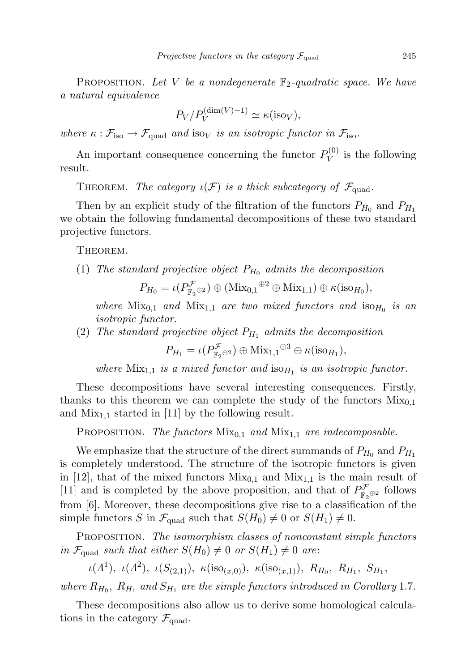**PROPOSITION.** Let V be a nondegenerate  $\mathbb{F}_2$ -quadratic space. We have a natural equivalence

$$
P_V/P_V^{\text{(dim}(V)-1)} \simeq \kappa(\text{iso}_V),
$$

where  $\kappa : \mathcal{F}_{\text{iso}} \to \mathcal{F}_{\text{quad}}$  and isov is an isotropic functor in  $\mathcal{F}_{\text{iso}}$ .

An important consequence concerning the functor  $P_V^{(0)}$  $V_V^{(0)}$  is the following result.

THEOREM. The category  $\iota(\mathcal{F})$  is a thick subcategory of  $\mathcal{F}_{quad}$ .

Then by an explicit study of the filtration of the functors  $P_{H_0}$  and  $P_{H_1}$ we obtain the following fundamental decompositions of these two standard projective functors.

Theorem.

(1) The standard projective object  $P_{H_0}$  admits the decomposition

$$
P_{H_0} = \iota(P^{\mathcal{F}}_{\mathbb{F}_2 \oplus 2}) \oplus (\text{Mix}_{0,1} \oplus 2 \oplus \text{Mix}_{1,1}) \oplus \kappa(\text{iso}_{H_0}),
$$

where  $Mix_{0,1}$  and  $Mix_{1,1}$  are two mixed functors and  $iso_{H_0}$  is an isotropic functor.

(2) The standard projective object  $P_{H_1}$  admits the decomposition

$$
P_{H_1} = \iota(P^{\mathcal{F}}_{\mathbb{F}_2 \oplus 2}) \oplus \operatorname{Mix}_{1,1}^{\oplus 3} \oplus \kappa(\operatorname{iso}_{H_1}),
$$

where  $Mix_{1,1}$  is a mixed functor and  $iso_{H_1}$  is an isotropic functor.

These decompositions have several interesting consequences. Firstly, thanks to this theorem we can complete the study of the functors  $Mix_{0,1}$ and  $Mix_{1,1}$  started in [11] by the following result.

PROPOSITION. The functors  $Mix_{0,1}$  and  $Mix_{1,1}$  are indecomposable.

We emphasize that the structure of the direct summands of  $P_{H_0}$  and  $P_{H_1}$ is completely understood. The structure of the isotropic functors is given in [12], that of the mixed functors  $Mix_{0,1}$  and  $Mix_{1,1}$  is the main result of [11] and is completed by the above proposition, and that of  $P^{\mathcal{F}}_{\mathbb{F}_2 \oplus 2}$  follows from [6]. Moreover, these decompositions give rise to a classification of the simple functors S in  $\mathcal{F}_{quad}$  such that  $S(H_0) \neq 0$  or  $S(H_1) \neq 0$ .

PROPOSITION. The isomorphism classes of nonconstant simple functors in  $\mathcal{F}_{\text{quad}}$  such that either  $S(H_0) \neq 0$  or  $S(H_1) \neq 0$  are:

 $\iota(\Lambda^1), \ \iota(\Lambda^2), \ \iota(S_{(2,1)}), \ \kappa(\text{iso}_{(x,0)}), \ \kappa(\text{iso}_{(x,1)}), \ R_{H_0}, \ R_{H_1}, \ S_{H_1},$ 

where  $R_{H_0}$ ,  $R_{H_1}$  and  $S_{H_1}$  are the simple functors introduced in Corollary 1.7.

These decompositions also allow us to derive some homological calculations in the category  $\mathcal{F}_{\text{quad}}$ .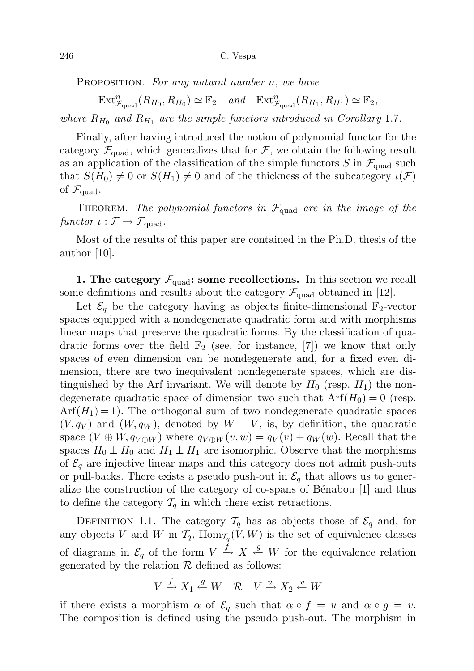PROPOSITION. For any natural number n, we have

 $\operatorname{Ext}^n_{\mathcal{F}_{\text{quad}}}(R_{H_0}, R_{H_0}) \simeq \mathbb{F}_2$  and  $\operatorname{Ext}^n_{\mathcal{F}_{\text{quad}}}(R_{H_1}, R_{H_1}) \simeq \mathbb{F}_2$ , where  $R_{H_0}$  and  $R_{H_1}$  are the simple functors introduced in Corollary 1.7.

Finally, after having introduced the notion of polynomial functor for the category  $\mathcal{F}_{quad}$ , which generalizes that for  $\mathcal{F}$ , we obtain the following result as an application of the classification of the simple functors S in  $\mathcal{F}_{quad}$  such that  $S(H_0) \neq 0$  or  $S(H_1) \neq 0$  and of the thickness of the subcategory  $\iota(\mathcal{F})$ of  $\mathcal{F}_{\text{quad}}$ .

THEOREM. The polynomial functors in  $\mathcal{F}_{quad}$  are in the image of the functor  $\iota : \mathcal{F} \to \mathcal{F}_{quad}$ .

Most of the results of this paper are contained in the Ph.D. thesis of the author [10].

1. The category  $\mathcal{F}_{quad}$ : some recollections. In this section we recall some definitions and results about the category  $\mathcal{F}_{quad}$  obtained in [12].

Let  $\mathcal{E}_q$  be the category having as objects finite-dimensional  $\mathbb{F}_2$ -vector spaces equipped with a nondegenerate quadratic form and with morphisms linear maps that preserve the quadratic forms. By the classification of quadratic forms over the field  $\mathbb{F}_2$  (see, for instance, [7]) we know that only spaces of even dimension can be nondegenerate and, for a fixed even dimension, there are two inequivalent nondegenerate spaces, which are distinguished by the Arf invariant. We will denote by  $H_0$  (resp.  $H_1$ ) the nondegenerate quadratic space of dimension two such that  $Arf(H_0) = 0$  (resp.  $Arf(H_1) = 1$ . The orthogonal sum of two nondegenerate quadratic spaces  $(V, q_V)$  and  $(W, q_W)$ , denoted by  $W \perp V$ , is, by definition, the quadratic space  $(V \oplus W, q_{V \oplus W})$  where  $q_{V \oplus W}(v, w) = q_V(v) + q_W(w)$ . Recall that the spaces  $H_0 \perp H_0$  and  $H_1 \perp H_1$  are isomorphic. Observe that the morphisms of  $\mathcal{E}_q$  are injective linear maps and this category does not admit push-outs or pull-backs. There exists a pseudo push-out in  $\mathcal{E}_q$  that allows us to generalize the construction of the category of co-spans of Bénabou [1] and thus to define the category  $T_q$  in which there exist retractions.

DEFINITION 1.1. The category  $\mathcal{T}_q$  has as objects those of  $\mathcal{E}_q$  and, for any objects V and W in  $\mathcal{T}_q$ ,  $\text{Hom}_{\mathcal{T}_q}(V, W)$  is the set of equivalence classes of diagrams in  $\mathcal{E}_q$  of the form  $V \stackrel{f}{\rightarrow} X \stackrel{g}{\leftarrow} W$  for the equivalence relation generated by the relation  $R$  defined as follows:

$$
V \xrightarrow{f} X_1 \xleftarrow{g} W \quad \mathcal{R} \quad V \xrightarrow{u} X_2 \xleftarrow{v} W
$$

if there exists a morphism  $\alpha$  of  $\mathcal{E}_q$  such that  $\alpha \circ f = u$  and  $\alpha \circ g = v$ . The composition is defined using the pseudo push-out. The morphism in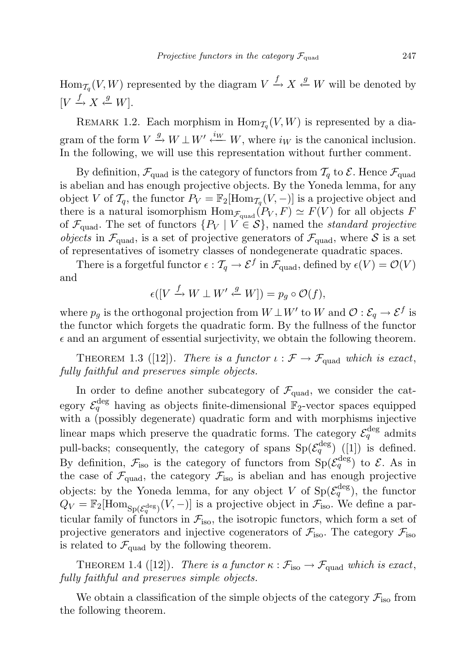$\text{Hom}_{\mathcal{T}_q}(V, W)$  represented by the diagram  $V \xrightarrow{f} X \xleftarrow{g} W$  will be denoted by  $[V \xrightarrow{f} X \stackrel{g}{\leftarrow} W].$ 

REMARK 1.2. Each morphism in  $\text{Hom}_{\mathcal{T}_q}(V, W)$  is represented by a diagram of the form  $V \stackrel{g}{\rightarrow} W \perp W' \stackrel{i_W}{\leftarrow} W$ , where  $i_W$  is the canonical inclusion. In the following, we will use this representation without further comment.

By definition,  $\mathcal{F}_{quad}$  is the category of functors from  $\mathcal{T}_{q}$  to  $\mathcal{E}$ . Hence  $\mathcal{F}_{quad}$ is abelian and has enough projective objects. By the Yoneda lemma, for any object V of  $\mathcal{T}_q$ , the functor  $P_V = \mathbb{F}_2[\text{Hom}_{\mathcal{T}_q}(V,-)]$  is a projective object and there is a natural isomorphism  $\text{Hom}_{\mathcal{F}_{quad}}(P_V, F) \simeq F(V)$  for all objects F of  $\mathcal{F}_{quad}$ . The set of functors  $\{P_V \mid V \in \mathcal{S}\}\$ , named the *standard projective* objects in  $\mathcal{F}_{quad}$ , is a set of projective generators of  $\mathcal{F}_{quad}$ , where S is a set of representatives of isometry classes of nondegenerate quadratic spaces.

There is a forgetful functor  $\epsilon : \mathcal{T}_q \to \mathcal{E}^f$  in  $\mathcal{F}_{\text{quad}}$ , defined by  $\epsilon(V) = \mathcal{O}(V)$ and

$$
\epsilon([V \xrightarrow{f} W \perp W' \xleftarrow{g} W]) = p_g \circ \mathcal{O}(f),
$$

where  $p_g$  is the orthogonal projection from  $W \perp W'$  to W and  $\mathcal{O}: \mathcal{E}_q \to \mathcal{E}^f$  is the functor which forgets the quadratic form. By the fullness of the functor  $\epsilon$  and an argument of essential surjectivity, we obtain the following theorem.

THEOREM 1.3 ([12]). There is a functor  $\iota : \mathcal{F} \to \mathcal{F}_{quad}$  which is exact, fully faithful and preserves simple objects.

In order to define another subcategory of  $\mathcal{F}_{quad}$ , we consider the category  $\mathcal{E}_q^{\text{deg}}$  having as objects finite-dimensional  $\mathbb{F}_2$ -vector spaces equipped with a (possibly degenerate) quadratic form and with morphisms injective linear maps which preserve the quadratic forms. The category  $\mathcal{E}_q^{\text{deg}}$  admits pull-backs; consequently, the category of spans  $Sp(\mathcal{E}_q^{\text{deg}})$  ([1]) is defined. By definition,  $\mathcal{F}_{\text{iso}}$  is the category of functors from  $\text{Sp}(\mathcal{E}_q^{\text{deg}})$  to  $\mathcal{E}$ . As in the case of  $\mathcal{F}_{quad}$ , the category  $\mathcal{F}_{iso}$  is abelian and has enough projective objects: by the Yoneda lemma, for any object V of  $Sp(\mathcal{E}_q^{\deg})$ , the functor  $Q_V = \mathbb{F}_2[\text{Hom}_{\text{Sp}(\mathcal{E}_q^{\text{deg}})}(V,-)]$  is a projective object in  $\mathcal{F}_{\text{iso}}$ . We define a particular family of functors in  $\mathcal{F}_{\text{iso}}$ , the isotropic functors, which form a set of projective generators and injective cogenerators of  $\mathcal{F}_{\text{iso}}$ . The category  $\mathcal{F}_{\text{iso}}$ is related to  $\mathcal{F}_{quad}$  by the following theorem.

THEOREM 1.4 ([12]). There is a functor  $\kappa : \mathcal{F}_{\text{iso}} \to \mathcal{F}_{\text{quad}}$  which is exact, fully faithful and preserves simple objects.

We obtain a classification of the simple objects of the category  $\mathcal{F}_{\text{iso}}$  from the following theorem.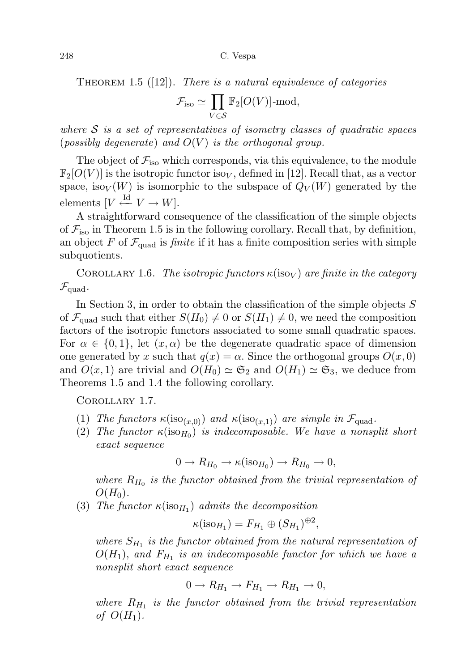THEOREM 1.5  $([12])$ . There is a natural equivalence of categories

$$
\mathcal{F}_{\text{iso}} \simeq \prod_{V \in \mathcal{S}} \mathbb{F}_2[O(V)] \text{-mod},
$$

where  $S$  is a set of representatives of isometry classes of quadratic spaces (possibly degenerate) and  $O(V)$  is the orthogonal group.

The object of  $\mathcal{F}_{\text{iso}}$  which corresponds, via this equivalence, to the module  $\mathbb{F}_2[O(V)]$  is the isotropic functor isov, defined in [12]. Recall that, as a vector space, isov $(V)$  is isomorphic to the subspace of  $Q_V(W)$  generated by the elements  $[V \stackrel{\text{Id}}{\leftarrow} V \rightarrow W].$ 

A straightforward consequence of the classification of the simple objects of  $\mathcal{F}_{\text{iso}}$  in Theorem 1.5 is in the following corollary. Recall that, by definition, an object F of  $\mathcal{F}_{quad}$  is *finite* if it has a finite composition series with simple subquotients.

COROLLARY 1.6. The isotropic functors  $\kappa(\text{iso}_V)$  are finite in the category  $\mathcal{F}_{\text{quad}}$ .

In Section 3, in order to obtain the classification of the simple objects  $S$ of  $\mathcal{F}_{quad}$  such that either  $S(H_0) \neq 0$  or  $S(H_1) \neq 0$ , we need the composition factors of the isotropic functors associated to some small quadratic spaces. For  $\alpha \in \{0,1\}$ , let  $(x,\alpha)$  be the degenerate quadratic space of dimension one generated by x such that  $q(x) = \alpha$ . Since the orthogonal groups  $O(x, 0)$ and  $O(x, 1)$  are trivial and  $O(H_0) \simeq \mathfrak{S}_2$  and  $O(H_1) \simeq \mathfrak{S}_3$ , we deduce from Theorems 1.5 and 1.4 the following corollary.

Corollary 1.7.

- (1) The functors  $\kappa(\text{iso}_{(x,0)})$  and  $\kappa(\text{iso}_{(x,1)})$  are simple in  $\mathcal{F}_{\text{quad}}$ .
- (2) The functor  $\kappa(\text{iso}_{H_0})$  is indecomposable. We have a nonsplit short exact sequence

$$
0 \to R_{H_0} \to \kappa(\text{iso}_{H_0}) \to R_{H_0} \to 0,
$$

where  $R_{H_0}$  is the functor obtained from the trivial representation of  $O(H_0)$ .

(3) The functor  $\kappa(\text{iso}_{H_1})$  admits the decomposition

$$
\kappa(\text{iso}_{H_1}) = F_{H_1} \oplus (S_{H_1})^{\oplus 2},
$$

where  $S_{H_1}$  is the functor obtained from the natural representation of  $O(H_1)$ , and  $F_{H_1}$  is an indecomposable functor for which we have a nonsplit short exact sequence

$$
0 \to R_{H_1} \to F_{H_1} \to R_{H_1} \to 0,
$$

where  $R_{H_1}$  is the functor obtained from the trivial representation of  $O(H_1)$ .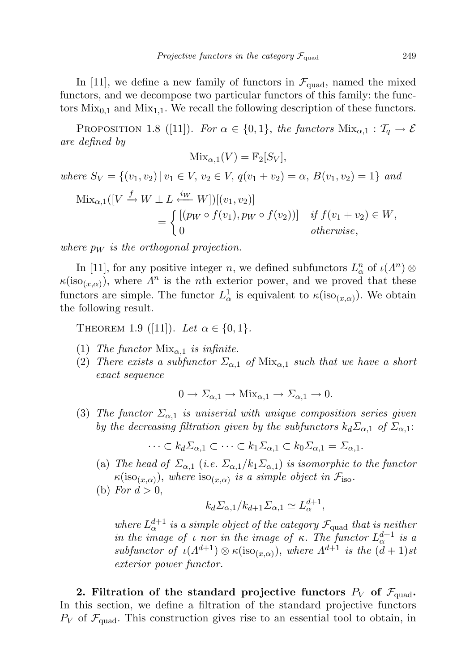In [11], we define a new family of functors in  $\mathcal{F}_{quad}$ , named the mixed functors, and we decompose two particular functors of this family: the functors  $Mix_{0,1}$  and  $Mix_{1,1}$ . We recall the following description of these functors.

PROPOSITION 1.8 ([11]). For  $\alpha \in \{0,1\}$ , the functors  $\text{Mix}_{\alpha,1} : T_q \to \mathcal{E}$ are defined by

$$
Mix_{\alpha,1}(V) = \mathbb{F}_2[S_V],
$$

where  $S_V = \{(v_1, v_2) | v_1 \in V, v_2 \in V, q(v_1 + v_2) = \alpha, B(v_1, v_2) = 1 \}$  and  $\text{Mix}_{\alpha,1}([V \xrightarrow{f} W \perp L \xleftarrow{iW} W])[(v_1, v_2)]$  $=\begin{cases} [(p_W \circ f(v_1), p_W \circ f(v_2))] & \text{if } f(v_1 + v_2) \in W, \end{cases}$ 0 otherwise,

where  $p_W$  is the orthogonal projection.

In [11], for any positive integer n, we defined subfunctors  $L_{\alpha}^n$  of  $\iota(\Lambda^n)$   $\otimes$  $\kappa(\text{iso}_{(x,\alpha)})$ , where  $\Lambda^n$  is the *n*th exterior power, and we proved that these functors are simple. The functor  $L^1_\alpha$  is equivalent to  $\kappa(\text{iso}_{(x,\alpha)})$ . We obtain the following result.

THEOREM 1.9 ([11]). Let  $\alpha \in \{0, 1\}$ .

- (1) The functor  $Mix_{\alpha,1}$  is infinite.
- (2) There exists a subfunctor  $\Sigma_{\alpha,1}$  of  $Mix_{\alpha,1}$  such that we have a short exact sequence

$$
0 \to \Sigma_{\alpha,1} \to \text{Mix}_{\alpha,1} \to \Sigma_{\alpha,1} \to 0.
$$

(3) The functor  $\Sigma_{\alpha,1}$  is uniserial with unique composition series given by the decreasing filtration given by the subfunctors  $k_d \Sigma_{\alpha,1}$  of  $\Sigma_{\alpha,1}$ :

$$
\cdots \subset k_d \Sigma_{\alpha,1} \subset \cdots \subset k_1 \Sigma_{\alpha,1} \subset k_0 \Sigma_{\alpha,1} = \Sigma_{\alpha,1}.
$$

- (a) The head of  $\Sigma_{\alpha,1}$  (i.e.  $\Sigma_{\alpha,1}/k_1\Sigma_{\alpha,1}$ ) is isomorphic to the functor  $\kappa(\text{iso}_{(x,\alpha)})$ , where  $\text{iso}_{(x,\alpha)}$  is a simple object in  $\mathcal{F}_{\text{iso}}$ .
- (b) For  $d > 0$ ,

$$
k_d \Sigma_{\alpha,1} / k_{d+1} \Sigma_{\alpha,1} \simeq L_{\alpha}^{d+1},
$$

where  $L_{\alpha}^{d+1}$  is a simple object of the category  $\mathcal{F}_{\text{quad}}$  that is neither in the image of  $\iota$  nor in the image of  $\kappa$ . The functor  $L^{d+1}_{\alpha}$  is a subfunctor of  $\iota(\Lambda^{d+1}) \otimes \kappa(\text{iso}_{(x,\alpha)})$ , where  $\Lambda^{d+1}$  is the  $(d+1)$ st exterior power functor.

2. Filtration of the standard projective functors  $P_V$  of  $\mathcal{F}_{quad}$ . In this section, we define a filtration of the standard projective functors  $P_V$  of  $\mathcal{F}_{quad}$ . This construction gives rise to an essential tool to obtain, in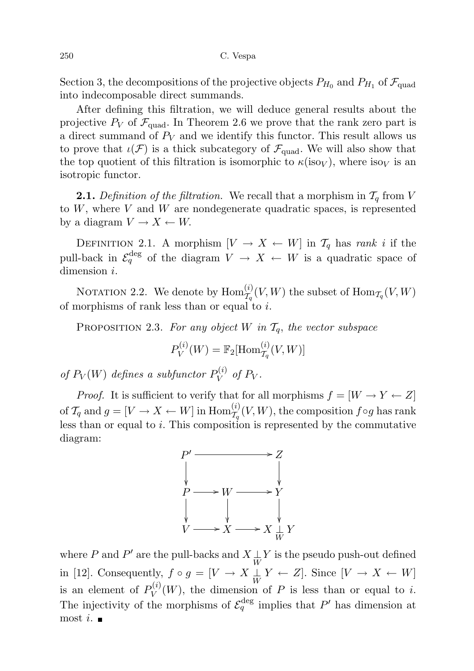Section 3, the decompositions of the projective objects  $P_{H_0}$  and  $P_{H_1}$  of  $\mathcal{F}_{\text{quad}}$ into indecomposable direct summands.

After defining this filtration, we will deduce general results about the projective  $P_V$  of  $\mathcal{F}_{quad}$ . In Theorem 2.6 we prove that the rank zero part is a direct summand of  $P_V$  and we identify this functor. This result allows us to prove that  $\iota(\mathcal{F})$  is a thick subcategory of  $\mathcal{F}_{quad}$ . We will also show that the top quotient of this filtration is isomorphic to  $\kappa(\text{iso}_V)$ , where  $\text{iso}_V$  is an isotropic functor.

**2.1.** Definition of the filtration. We recall that a morphism in  $\mathcal{T}_q$  from V to  $W$ , where  $V$  and  $W$  are nondegenerate quadratic spaces, is represented by a diagram  $V \to X \leftarrow W$ .

DEFINITION 2.1. A morphism  $[V \to X \leftarrow W]$  in  $\mathcal{T}_q$  has rank i if the pull-back in  $\mathcal{E}_q^{\text{deg}}$  of the diagram  $V \to X \leftarrow W$  is a quadratic space of dimension *i*.

NOTATION 2.2. We denote by  $\mathrm{Hom}^{(i)}_{\mathcal{T}_q}(V,W)$  the subset of  $\mathrm{Hom}_{\mathcal{T}_q}(V,W)$ of morphisms of rank less than or equal to  $i$ .

PROPOSITION 2.3. For any object W in  $\mathcal{T}_q$ , the vector subspace

$$
P_V^{(i)}(W) = \mathbb{F}_2[\text{Hom}_{\mathcal{T}_q}^{(i)}(V,W)]
$$

of  $P_V(W)$  defines a subfunctor  $P_V^{(i)}$  $V^{(i)}$  of  $P_V$ .

*Proof.* It is sufficient to verify that for all morphisms  $f = [W \to Y \leftarrow Z]$ of  $\mathcal{T}_q$  and  $g = [V \to X \leftarrow W]$  in  $\text{Hom}_{\mathcal{T}_q}^{(i)}(V, W)$ , the composition  $f \circ g$  has rank less than or equal to  $i$ . This composition is represented by the commutative diagram:



where  $P$  and  $P'$  are the pull-backs and  $X\underset{W}{\perp} Y$  is the pseudo push-out defined in [12]. Consequently,  $f \circ g = [V \to X \perp Y \leftarrow Z]$ . Since  $[V \to X \leftarrow W]$ is an element of  $P_V^{(i)}$  $V^{\{v\}}(W)$ , the dimension of P is less than or equal to i. The injectivity of the morphisms of  $\mathcal{E}_q^{\text{deg}}$  implies that P' has dimension at  $m$ ost i.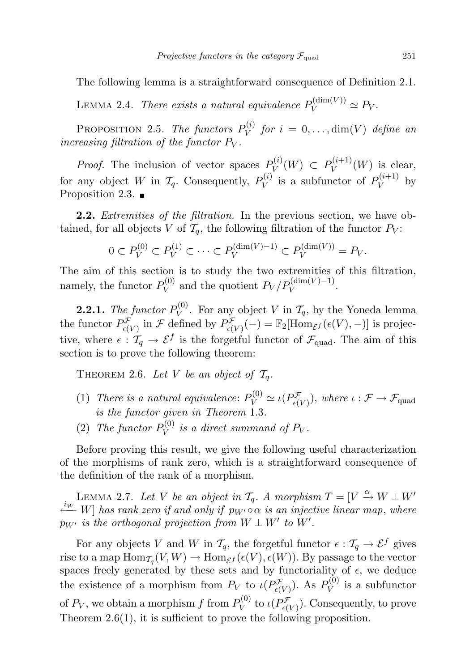The following lemma is a straightforward consequence of Definition 2.1.

LEMMA 2.4. There exists a natural equivalence  $P_V^{(\text{dim}(V))} \simeq P_V$ .

PROPOSITION 2.5. The functors  $P_V^{(i)}$  $V^{(i)}$  for  $i = 0, \ldots, \dim(V)$  define an increasing filtration of the functor  $P_V$ .

*Proof.* The inclusion of vector spaces  $P_V^{(i)}$  $P_V^{(i)}(W) \, \subset \, P_V^{(i+1)}$  $V^{(i+1)}(W)$  is clear, for any object W in  $\mathcal{T}_q$ . Consequently,  $P_V^{(i)}$  $V_V^{(i)}$  is a subfunctor of  $P_V^{(i+1)}$  $V^{(i+1)}$  by Proposition 2.3.  $\blacksquare$ 

**2.2.** Extremities of the filtration. In the previous section, we have obtained, for all objects V of  $\mathcal{T}_q$ , the following filtration of the functor  $P_V$ :

$$
0 \subset P_V^{(0)} \subset P_V^{(1)} \subset \cdots \subset P_V^{(\dim(V)-1)} \subset P_V^{(\dim(V))} = P_V.
$$

The aim of this section is to study the two extremities of this filtration, namely, the functor  $P_V^{(0)}$  $V_V^{(0)}$  and the quotient  $P_V/P_V^{(\dim(V)-1)}$ .

**2.2.1.** The functor  $P_V^{(0)}$  $V_V^{(0)}$ . For any object V in  $\mathcal{T}_q$ , by the Yoneda lemma the functor  $P^{\mathcal{F}}_{\epsilon(V)}$  in  $\mathcal{F}$  defined by  $P^{\mathcal{F}}_{\epsilon(V)}(-) = \mathbb{F}_2[\text{Hom}_{\mathcal{E}^f}(\epsilon(V), -)]$  is projective, where  $\epsilon : \mathcal{T}_q \to \mathcal{E}^f$  is the forgetful functor of  $\mathcal{F}_{quad}$ . The aim of this section is to prove the following theorem:

THEOREM 2.6. Let V be an object of  $\mathcal{T}_q$ .

- (1) There is a natural equivalence:  $P_V^{(0)} \simeq \iota(P_{\epsilon(V)}^{\mathcal{F}})$ , where  $\iota : \mathcal{F} \to \mathcal{F}_{\text{quad}}$ is the functor given in Theorem 1.3.
- (2) The functor  $P_V^{(0)}$  $\tilde{V}_V^{(0)}$  is a direct summand of  $P_V$ .

Before proving this result, we give the following useful characterization of the morphisms of rank zero, which is a straightforward consequence of the definition of the rank of a morphism.

LEMMA 2.7. Let V be an object in  $\mathcal{T}_q$ . A morphism  $T = [V \stackrel{\alpha}{\rightarrow} W \perp W'$  $\stackrel{i_{W}}{\longleftarrow} W$ ] has rank zero if and only if  $p_{W'} \circ \alpha$  is an injective linear map, where  $p_{W'}$  is the orthogonal projection from  $W \perp W'$  to  $W'.$ 

For any objects V and W in  $\mathcal{T}_q$ , the forgetful functor  $\epsilon : \mathcal{T}_q \to \mathcal{E}^f$  gives rise to a map  $\text{Hom}_{\mathcal{T}_q}(V, W) \to \text{Hom}_{\mathcal{E}^f}(\epsilon(V), \epsilon(W))$ . By passage to the vector spaces freely generated by these sets and by functoriality of  $\epsilon$ , we deduce the existence of a morphism from  $P_V$  to  $\iota(P_{\epsilon(V)}^{\mathcal{F}})$ . As  $P_V^{(0)}$  $V^{(0)}$  is a subfunctor of  $P_V$ , we obtain a morphism f from  $P_V^{(0)}$  $\mathcal{U}_V^{(0)}$  to  $\iota(P_{\epsilon(V)}^{\mathcal{F}})$ . Consequently, to prove Theorem 2.6(1), it is sufficient to prove the following proposition.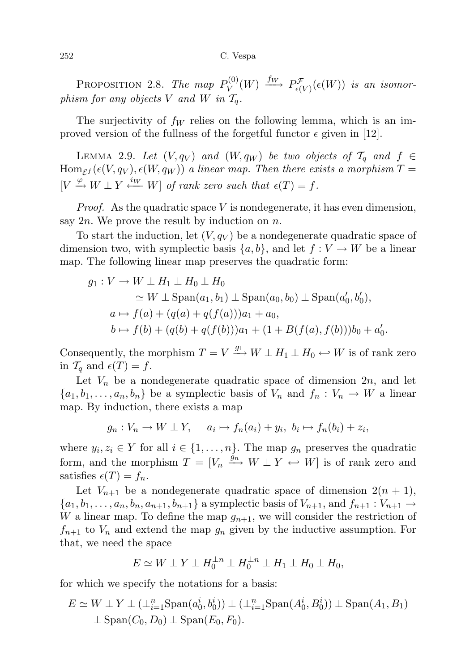PROPOSITION 2.8. The map  $P_V^{(0)}$  $\stackrel{(0)}{V}(W) \stackrel{f_W}{\longrightarrow} P^{\mathcal{F}}_{\epsilon(V)}(\epsilon(W))$  is an isomorphism for any objects V and W in  $\mathcal{T}_q$ .

The surjectivity of  $f_W$  relies on the following lemma, which is an improved version of the fullness of the forgetful functor  $\epsilon$  given in [12].

LEMMA 2.9. Let  $(V, q_V)$  and  $(W, q_W)$  be two objects of  $\mathcal{T}_q$  and  $f \in$  $\text{Hom}_{\mathcal{E}^f}(\epsilon(V,q_V),\epsilon(W,q_W))$  a linear map. Then there exists a morphism  $T=$  $[V \xrightarrow{\varphi} W \perp Y \xleftarrow{iw} W]$  of rank zero such that  $\epsilon(T) = f$ .

*Proof.* As the quadratic space  $V$  is nondegenerate, it has even dimension, say  $2n$ . We prove the result by induction on n.

To start the induction, let  $(V, q_V)$  be a nondegenerate quadratic space of dimension two, with symplectic basis  $\{a, b\}$ , and let  $f : V \to W$  be a linear map. The following linear map preserves the quadratic form:

$$
g_1: V \to W \perp H_1 \perp H_0 \perp H_0
$$
  
\n
$$
\simeq W \perp \text{Span}(a_1, b_1) \perp \text{Span}(a_0, b_0) \perp \text{Span}(a'_0, b'_0),
$$
  
\n
$$
a \mapsto f(a) + (q(a) + q(f(a)))a_1 + a_0,
$$
  
\n
$$
b \mapsto f(b) + (q(b) + q(f(b)))a_1 + (1 + B(f(a), f(b)))b_0 + a'_0.
$$

Consequently, the morphism  $T = V \xrightarrow{g_1} W \perp H_1 \perp H_0 \hookleftarrow W$  is of rank zero in  $\mathcal{T}_q$  and  $\epsilon(T) = f$ .

Let  $V_n$  be a nondegenerate quadratic space of dimension  $2n$ , and let  ${a_1, b_1, \ldots, a_n, b_n}$  be a symplectic basis of  $V_n$  and  $f_n: V_n \to W$  a linear map. By induction, there exists a map

 $g_n: V_n \to W \perp Y$ ,  $a_i \mapsto f_n(a_i) + y_i$ ,  $b_i \mapsto f_n(b_i) + z_i$ ,

where  $y_i, z_i \in Y$  for all  $i \in \{1, ..., n\}$ . The map  $g_n$  preserves the quadratic form, and the morphism  $T = [V_n \xrightarrow{\hat{g}_n} W \perp Y \leftarrow W]$  is of rank zero and satisfies  $\epsilon(T) = f_n$ .

Let  $V_{n+1}$  be a nondegenerate quadratic space of dimension  $2(n + 1)$ ,  ${a_1, b_1, \ldots, a_n, b_n, a_{n+1}, b_{n+1}}$  a symplectic basis of  $V_{n+1}$ , and  $f_{n+1} : V_{n+1} \to$ W a linear map. To define the map  $g_{n+1}$ , we will consider the restriction of  $f_{n+1}$  to  $V_n$  and extend the map  $g_n$  given by the inductive assumption. For that, we need the space

$$
E \simeq W \perp Y \perp H_0^{\perp n} \perp H_0^{\perp n} \perp H_1 \perp H_0 \perp H_0,
$$

for which we specify the notations for a basis:

$$
E \simeq W \perp Y \perp (\perp_{i=1}^n \operatorname{Span}(a_0^i, b_0^i)) \perp (\perp_{i=1}^n \operatorname{Span}(A_0^i, B_0^i)) \perp \operatorname{Span}(A_1, B_1)
$$
  
 
$$
\perp \operatorname{Span}(C_0, D_0) \perp \operatorname{Span}(E_0, F_0).
$$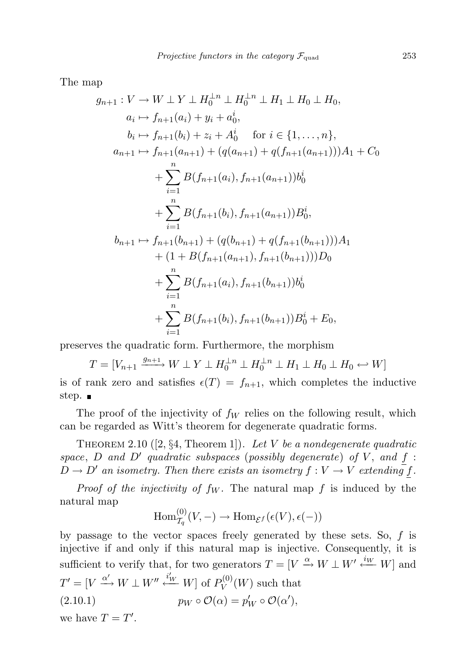The map

$$
g_{n+1}: V \to W \perp Y \perp H_0^{\perp n} \perp H_0^{\perp n} \perp H_1 \perp H_0 \perp H_0,
$$
  
\n
$$
a_i \mapsto f_{n+1}(a_i) + y_i + a_0^i,
$$
  
\n
$$
b_i \mapsto f_{n+1}(b_i) + z_i + A_0^i \quad \text{for } i \in \{1, ..., n\},
$$
  
\n
$$
a_{n+1} \mapsto f_{n+1}(a_{n+1}) + (q(a_{n+1}) + q(f_{n+1}(a_{n+1})))A_1 + C_0
$$
  
\n
$$
+ \sum_{i=1}^n B(f_{n+1}(a_i), f_{n+1}(a_{n+1}))b_0^i
$$
  
\n
$$
+ \sum_{i=1}^n B(f_{n+1}(b_i), f_{n+1}(a_{n+1}))B_0^i,
$$
  
\n
$$
b_{n+1} \mapsto f_{n+1}(b_{n+1}) + (q(b_{n+1}) + q(f_{n+1}(b_{n+1})))A_1
$$
  
\n
$$
+ (1 + B(f_{n+1}(a_{n+1}), f_{n+1}(b_{n+1})))D_0
$$
  
\n
$$
+ \sum_{i=1}^n B(f_{n+1}(a_i), f_{n+1}(b_{n+1}))b_0^i
$$
  
\n
$$
+ \sum_{i=1}^n B(f_{n+1}(b_i), f_{n+1}(b_{n+1}))B_0^i + E_0,
$$

preserves the quadratic form. Furthermore, the morphism

$$
T = [V_{n+1} \xrightarrow{g_{n+1}} W \perp Y \perp H_0^{\perp n} \perp H_0^{\perp n} \perp H_1 \perp H_0 \perp H_0 \leftarrow W]
$$
  
rank zero and satisfies  $c(T) = f_{n+1}$ , which completes the indu

is of rank zero and satisfies  $\epsilon(T) = f_{n+1}$ , which completes the inductive step. ■

The proof of the injectivity of  $f_W$  relies on the following result, which can be regarded as Witt's theorem for degenerate quadratic forms.

THEOREM 2.10 ([2,  $\S 4$ , Theorem 1]). Let V be a nondegenerate quadratic space, D and D' quadratic subspaces (possibly degenerate) of V, and  $f$ :  $\hat{D} \to D'$  an isometry. Then there exists an isometry  $f: V \to V$  extending f.

*Proof of the injectivity of*  $f_W$ *.* The natural map  $f$  is induced by the natural map

$$
\operatorname{Hom}_{\mathcal{T}_q}^{(0)}(V,-) \to \operatorname{Hom}_{\mathcal{E}^f}(\epsilon(V), \epsilon(-))
$$

by passage to the vector spaces freely generated by these sets. So,  $f$  is injective if and only if this natural map is injective. Consequently, it is sufficient to verify that, for two generators  $T = [V \stackrel{\alpha}{\rightarrow} W \perp W' \stackrel{i_W}{\leftarrow} W]$  and  $T' = [V \xrightarrow{\alpha'} W \perp W'' \stackrel{i'_{W}}{\longleftarrow} W]$  of  $P_V^{(0)}$  $V^{(0)}(W)$  such that (2.10.1)  $p_W \circ \mathcal{O}(\alpha) = p'_W \circ \mathcal{O}(\alpha'),$ 

we have  $T = T'$ .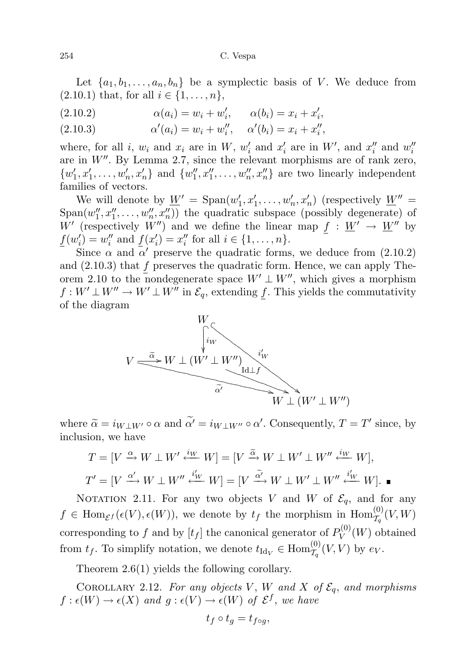Let  $\{a_1, b_1, \ldots, a_n, b_n\}$  be a symplectic basis of V. We deduce from  $(2.10.1)$  that, for all  $i \in \{1, ..., n\},\$ 

(2.10.2) 
$$
\alpha(a_i) = w_i + w'_i, \qquad \alpha(b_i) = x_i + x'_i,
$$

(2.10.3) 
$$
\alpha'(a_i) = w_i + w''_i, \quad \alpha'(b_i) = x_i + x''_i,
$$

where, for all *i*,  $w_i$  and  $x_i$  are in  $W$ ,  $w'_i$  and  $x'_i$  are in  $W'$ , and  $x''_i$  and  $w''_i$ are in  $W''$ . By Lemma 2.7, since the relevant morphisms are of rank zero,  $\{w_1', x_1', \ldots, w_n', x_n'\}$  and  $\{w_1'', x_1'', \ldots, w_n'', x_n''\}$  are two linearly independent families of vectors.

We will denote by  $\underline{W}' = \text{Span}(w'_1, x'_1, \ldots, w'_n, x'_n)$  (respectively  $\underline{W}'' =$  $Span(w''_1, x''_1, \ldots, w''_n, x''_n))$  the quadratic subspace (possibly degenerate) of W' (respectively W'') and we define the linear map  $f : W' \to W''$  by  $\underline{f}(w'_i) = w''_i$  and  $\underline{f}(x'_i) = x''_i$  for all  $i \in \{1, ..., n\}$ .

Since  $\alpha$  and  $\alpha'$  preserve the quadratic forms, we deduce from (2.10.2) and  $(2.10.3)$  that  $f$  preserves the quadratic form. Hence, we can apply Theorem 2.10 to the nondegenerate space  $W' \perp W''$ , which gives a morphism  $f: W' \perp W'' \to W' \perp W''$  in  $\mathcal{E}_q$ , extending f. This yields the commutativity of the diagram



where  $\tilde{\alpha} = i_{W\perp W'} \circ \alpha$  and  $\tilde{\alpha'} = i_{W\perp W''} \circ \alpha'$ . Consequently,  $T = T'$  since, by inclusion we have inclusion, we have

$$
T = [V \xrightarrow{\alpha} W \perp W' \xleftarrow{i_W} W] = [V \xrightarrow{\tilde{\alpha}} W \perp W' \perp W'' \xleftarrow{i_W} W],
$$
  

$$
T' = [V \xrightarrow{\alpha'} W \perp W'' \xleftarrow{i_W} W] = [V \xrightarrow{\tilde{\alpha'}} W \perp W' \perp W'' \xleftarrow{i_W} W].
$$

NOTATION 2.11. For any two objects V and W of  $\mathcal{E}_q$ , and for any  $f \in \text{Hom}_{\mathcal{E}^f}(\epsilon(V), \epsilon(W))$ , we denote by  $t_f$  the morphism in  $\text{Hom}_{\mathcal{I}_q}^{(0)}(V, W)$ corresponding to f and by  $[t_f]$  the canonical generator of  $P_V^{(0)}$  $V^{(0)}(W)$  obtained from  $t_f$ . To simplify notation, we denote  $t_{\text{Id}_V} \in \text{Hom}_{\mathcal{T}_q}^{(0)}(V, V)$  by  $e_V$ .

Theorem 2.6(1) yields the following corollary.

COROLLARY 2.12. For any objects V, W and X of  $\mathcal{E}_q$ , and morphisms  $f: \epsilon(W) \to \epsilon(X)$  and  $g: \epsilon(V) \to \epsilon(W)$  of  $\mathcal{E}^f$ , we have

$$
t_f \circ t_g = t_{f \circ g},
$$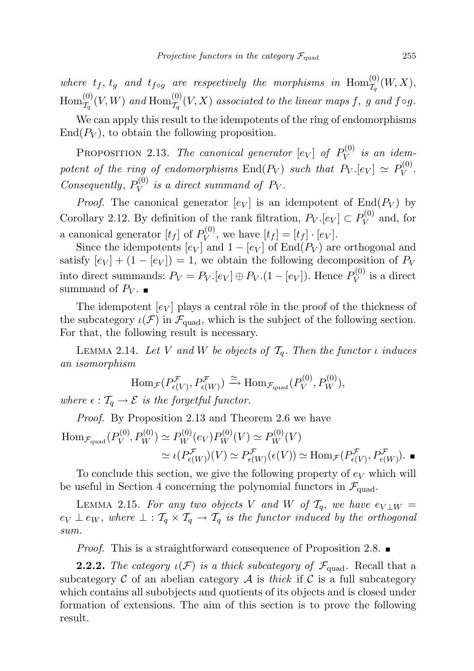where  $t_f$ ,  $t_g$  and  $t_{f \circ g}$  are respectively the morphisms in  $\text{Hom}_{\mathcal{T}_q}^{(0)}(W,X)$ ,  $\mathrm{Hom}^{(0)}_{\mathcal{T}_q}(V,W)$  and  $\mathrm{Hom}^{(0)}_{\mathcal{T}_q}(V,X)$  associated to the linear maps  $f,~g$  and  $f\circ g.$ 

We can apply this result to the idempotents of the ring of endomorphisms  $\text{End}(P_V)$ , to obtain the following proposition.

PROPOSITION 2.13. The canonical generator  $[e_V]$  of  $P_V^{(0)}$  $\mathcal{V}^{(0)}$  is an idempotent of the ring of endomorphisms  $\text{End}(P_V)$  such that  $P_V.[e_V] \simeq P_V^{(0)}$  $V^{(0)}$ . Consequently,  $P_V^{(0)}$  $\tilde{V}_V^{(0)}$  is a direct summand of  $P_V$ .

*Proof.* The canonical generator  $[e_V]$  is an idempotent of  $End(P_V)$  by Corollary 2.12. By definition of the rank filtration,  $P_V$  [ $e_V$ ]  $\subset P_V^{(0)}$  $V^{(0)}$  and, for a canonical generator  $[t_f]$  of  $P_V^{(0)}$  $V_V^{(0)}$ , we have  $[t_f] = [t_f] \cdot [e_V]$ .

Since the idempotents  $[e_V]$  and  $1 - [e_V]$  of End $(P_V)$  are orthogonal and satisfy  $[e_V] + (1 - [e_V]) = 1$ , we obtain the following decomposition of  $P_V$ into direct summands:  $P_V = P_V$ . [ $e_V$ ]  $\oplus P_V$ . (1 – [ $e_V$ ]). Hence  $P_V^{(0)}$  $V^{(0)}$  is a direct summand of  $P_V$ .

The idempotent  $[e_V]$  plays a central rôle in the proof of the thickness of the subcategory  $\iota(\mathcal{F})$  in  $\mathcal{F}_{quad}$ , which is the subject of the following section. For that, the following result is necessary.

LEMMA 2.14. Let V and W be objects of  $\mathcal{T}_q$ . Then the functor  $\iota$  induces an isomorphism

$$
\text{Hom}_{\mathcal{F}}(P^{\mathcal{F}}_{\epsilon(V)}, P^{\mathcal{F}}_{\epsilon(W)}) \xrightarrow{\simeq} \text{Hom}_{\mathcal{F}_{\text{quad}}}(P^{(0)}_V, P^{(0)}_W),
$$
  
where  $\epsilon : \mathcal{T}_q \to \mathcal{E}$  is the forgetful functor.

Proof. By Proposition 2.13 and Theorem 2.6 we have

$$
\begin{aligned} \mathrm{Hom}_{\mathcal{F}_{\mathrm{quad}}} (P^{(0)}_V, P^{(0)}_W) &\simeq P^{(0)}_W(e_V) P^{(0)}_W(V) \simeq P^{(0)}_W(V) \\ &\simeq \iota(P^{\mathcal{F}}_{\epsilon(W)})(V) \simeq P^{\mathcal{F}}_{\epsilon(W)}(\epsilon(V)) \simeq \mathrm{Hom}_{\mathcal{F}}(P^{\mathcal{F}}_{\epsilon(V)}, P^{\mathcal{F}}_{\epsilon(W)}) . \end{aligned}
$$

To conclude this section, we give the following property of  $e_V$  which will be useful in Section 4 concerning the polynomial functors in  $\mathcal{F}_{quad}$ .

LEMMA 2.15. For any two objects V and W of  $\mathcal{T}_q$ , we have  $e_{V\perp W}$  =  $e_V \perp e_W$ , where  $\perp : T_q \times T_q \to T_q$  is the functor induced by the orthogonal sum.

Proof. This is a straightforward consequence of Proposition 2.8.

**2.2.2.** The category  $\iota(\mathcal{F})$  is a thick subcategory of  $\mathcal{F}_{quad}$ . Recall that a subcategory  $\mathcal C$  of an abelian category  $\mathcal A$  is thick if  $\mathcal C$  is a full subcategory which contains all subobjects and quotients of its objects and is closed under formation of extensions. The aim of this section is to prove the following result.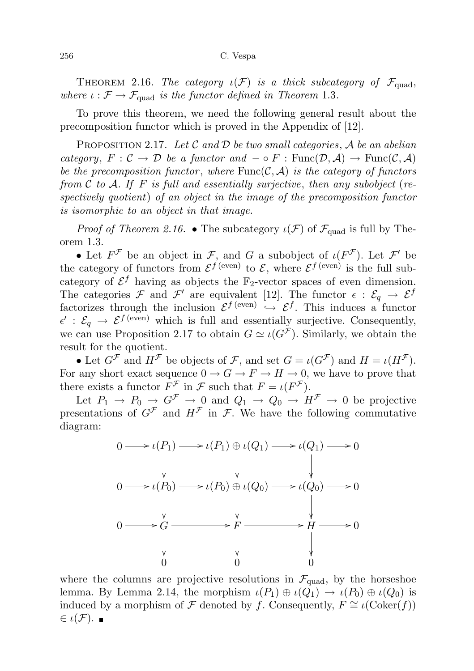THEOREM 2.16. The category  $\iota(\mathcal{F})$  is a thick subcategory of  $\mathcal{F}_{\text{quad}}$ , where  $\iota : \mathcal{F} \to \mathcal{F}_{quad}$  is the functor defined in Theorem 1.3.

To prove this theorem, we need the following general result about the precomposition functor which is proved in the Appendix of [12].

PROPOSITION 2.17. Let  $\mathcal C$  and  $\mathcal D$  be two small categories,  $\mathcal A$  be an abelian category,  $F : \mathcal{C} \to \mathcal{D}$  be a functor and  $-\circ F : \text{Func}(\mathcal{D}, \mathcal{A}) \to \text{Func}(\mathcal{C}, \mathcal{A})$ be the precomposition functor, where  $Func(C, \mathcal{A})$  is the category of functors from  $\mathcal C$  to  $\mathcal A$ . If F is full and essentially surjective, then any subobject (respectively quotient) of an object in the image of the precomposition functor is isomorphic to an object in that image.

*Proof of Theorem 2.16.* • The subcategory  $\iota(\mathcal{F})$  of  $\mathcal{F}_{quad}$  is full by Theorem 1.3.

• Let  $F^{\mathcal{F}}$  be an object in  $\mathcal{F}$ , and  $G$  a subobject of  $\iota(F^{\mathcal{F}})$ . Let  $\mathcal{F}'$  be the category of functors from  $\mathcal{E}^{f(\text{even})}$  to  $\mathcal{E}$ , where  $\mathcal{E}^{f(\text{even})}$  is the full subcategory of  $\mathcal{E}^f$  having as objects the  $\mathbb{F}_2$ -vector spaces of even dimension. The categories F and F' are equivalent [12]. The functor  $\epsilon : \mathcal{E}_q \to \mathcal{E}^f$ factorizes through the inclusion  $\mathcal{E}^{f(\text{even})} \hookrightarrow \mathcal{E}^{f}$ . This induces a functor  $\epsilon' : \mathcal{E}_q \to \mathcal{E}^{f \text{ (even)}}$  which is full and essentially surjective. Consequently, we can use Proposition 2.17 to obtain  $G \simeq \iota(G^{\mathcal{F}})$ . Similarly, we obtain the result for the quotient.

• Let  $G^{\mathcal{F}}$  and  $H^{\mathcal{F}}$  be objects of  $\mathcal{F}$ , and set  $G = \iota(G^{\mathcal{F}})$  and  $H = \iota(H^{\mathcal{F}})$ . For any short exact sequence  $0 \to G \to F \to H \to 0$ , we have to prove that there exists a functor  $F^{\mathcal{F}}$  in  $\mathcal{F}$  such that  $F = \iota(F^{\mathcal{F}})$ .

Let  $P_1 \rightarrow P_0 \rightarrow G^{\mathcal{F}} \rightarrow 0$  and  $Q_1 \rightarrow Q_0 \rightarrow H^{\mathcal{F}} \rightarrow 0$  be projective presentations of  $G^{\mathcal{F}}$  and  $H^{\mathcal{F}}$  in  $\mathcal{F}$ . We have the following commutative diagram:



where the columns are projective resolutions in  $\mathcal{F}_{quad}$ , by the horseshoe lemma. By Lemma 2.14, the morphism  $\iota(P_1) \oplus \iota(Q_1) \to \iota(P_0) \oplus \iota(Q_0)$  is induced by a morphism of F denoted by f. Consequently,  $F \cong \iota(\mathrm{Coker}(f))$  $\in$   $\iota(\mathcal{F})$ .  $\blacksquare$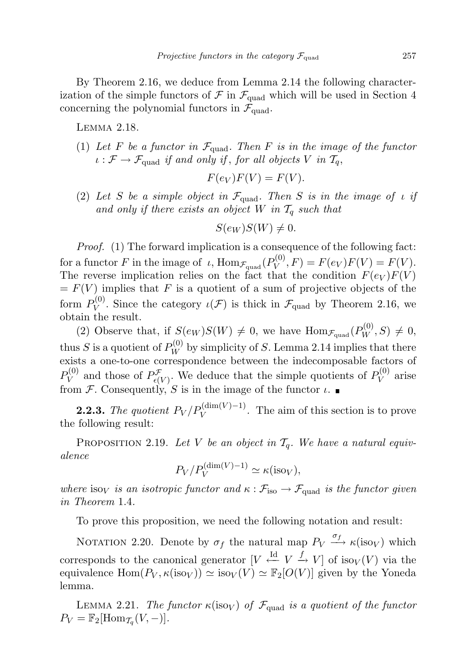By Theorem 2.16, we deduce from Lemma 2.14 the following characterization of the simple functors of  $\mathcal F$  in  $\mathcal F_{\text{quad}}$  which will be used in Section 4 concerning the polynomial functors in  $\mathcal{F}_{quad}$ .

Lemma 2.18.

(1) Let F be a functor in  $\mathcal{F}_{quad}$ . Then F is in the image of the functor  $\iota : \mathcal{F} \to \mathcal{F}_{quad}$  if and only if, for all objects V in  $\mathcal{T}_q$ ,

$$
F(e_V)F(V) = F(V).
$$

(2) Let S be a simple object in  $\mathcal{F}_{quad}$ . Then S is in the image of  $\iota$  if and only if there exists an object  $W$  in  $\mathcal{T}_q$  such that

$$
S(e_W)S(W) \neq 0.
$$

Proof. (1) The forward implication is a consequence of the following fact: for a functor F in the image of  $\iota$ ,  $\mathrm{Hom}_{\mathcal{F}_\text{quad}}(P_V^{(0)})$  $V_V^{(0)}, F) = F(e_V)F(V) = F(V).$ The reverse implication relies on the fact that the condition  $F(e_V)F(V)$  $= F(V)$  implies that F is a quotient of a sum of projective objects of the form  $P_V^{(0)}$  $V_V^{(0)}$ . Since the category  $\iota(\mathcal{F})$  is thick in  $\mathcal{F}_{\text{quad}}$  by Theorem 2.16, we obtain the result.

(2) Observe that, if  $S(e_W)S(W) \neq 0$ , we have  $\text{Hom}_{\mathcal{F}_{\text{quad}}}(P_W^{(0)}, S) \neq 0$ , thus S is a quotient of  $P_W^{(0)}$  by simplicity of S. Lemma 2.14 implies that there exists a one-to-one correspondence between the indecomposable factors of  $P_V^{(0)}$  $V_V^{(0)}$  and those of  $P_{\epsilon(V)}^{\mathcal{F}}$ . We deduce that the simple quotients of  $P_V^{(0)}$  $V^{(0)}$  arise from F. Consequently, S is in the image of the functor  $\iota$ .

**2.2.3.** The quotient  $P_V/P_V^{(\dim(V)-1)}$ . The aim of this section is to prove the following result:

PROPOSITION 2.19. Let V be an object in  $\mathcal{T}_q$ . We have a natural equivalence

$$
P_V/P_V^{(\dim(V)-1)} \simeq \kappa(\text{iso}_V),
$$

where iso<sub>V</sub> is an isotropic functor and  $\kappa$  :  $\mathcal{F}_{\text{iso}} \to \mathcal{F}_{\text{quad}}$  is the functor given in Theorem 1.4.

To prove this proposition, we need the following notation and result:

NOTATION 2.20. Denote by  $\sigma_f$  the natural map  $P_V \stackrel{\sigma_f}{\longrightarrow} \kappa(\text{iso}_V)$  which corresponds to the canonical generator  $[V \stackrel{\text{Id}}{\leftarrow} V \stackrel{f}{\rightarrow} V]$  of iso $_V(V)$  via the equivalence  $\text{Hom}(P_V, \kappa(\text{iso}_V)) \simeq \text{iso}_V(V) \simeq \mathbb{F}_2[O(V)]$  given by the Yoneda lemma.

LEMMA 2.21. The functor  $\kappa(\text{iso}_V)$  of  $\mathcal{F}_{quad}$  is a quotient of the functor  $P_V = \mathbb{F}_2[\text{Hom}_{\mathcal{T}_q}(V,-)].$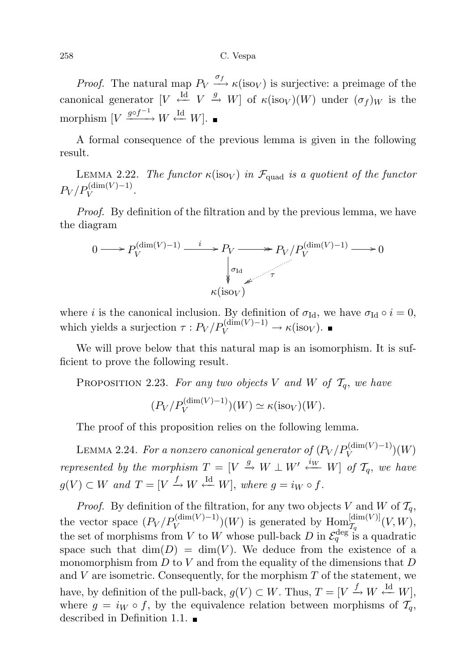258 C. Vespa

*Proof.* The natural map  $P_V \xrightarrow{\sigma_f} \kappa(\text{iso}_V)$  is surjective: a preimage of the canonical generator  $[V \stackrel{\text{Id}}{\leftarrow} V \stackrel{g}{\rightarrow} W]$  of  $\kappa(\text{iso}_V)(W)$  under  $(\sigma_f)_W$  is the morphism  $[V \xrightarrow{g \circ f^{-1}} W \xleftarrow{\text{Id}} W]$ .

A formal consequence of the previous lemma is given in the following result.

LEMMA 2.22. The functor  $\kappa(\text{iso}_V)$  in  $\mathcal{F}_{quad}$  is a quotient of the functor  $P_V / P_V^{(\dim(V) - 1)}$ .

Proof. By definition of the filtration and by the previous lemma, we have the diagram

$$
0 \longrightarrow P_V^{\text{(dim}(V)-1)} \xrightarrow{i} P_V \longrightarrow P_V / P_V^{\text{(dim}(V)-1)} \longrightarrow 0
$$
\n
$$
\downarrow \sigma_{\text{Id}}
$$
\n
$$
\kappa(\text{iso}_V)
$$

where *i* is the canonical inclusion. By definition of  $\sigma_{\text{Id}}$ , we have  $\sigma_{\text{Id}} \circ i = 0$ , which yields a surjection  $\tau: P_V/P_V^{(\dim(V)-1)} \to \kappa(\text{iso}_V)$ .

We will prove below that this natural map is an isomorphism. It is sufficient to prove the following result.

PROPOSITION 2.23. For any two objects V and W of  $\mathcal{T}_q$ , we have

$$
(P_V/P_V^{(\dim(V)-1)})(W) \simeq \kappa(\text{iso}_V)(W).
$$

The proof of this proposition relies on the following lemma.

LEMMA 2.24. For a nonzero canonical generator of  $(P_V/P_V^{(\mathrm{dim}(V)-1)})(W)$ represented by the morphism  $T = [V \stackrel{g}{\rightarrow} W \perp W' \stackrel{i_{W}}{\leftarrow} W]$  of  $T_{q}$ , we have  $g(V) \subset W$  and  $T = [V \stackrel{f}{\rightarrow} W \stackrel{\text{Id}}{\leftarrow} W]$ , where  $g = i_W \circ f$ .

*Proof.* By definition of the filtration, for any two objects V and W of  $\mathcal{T}_q$ , the vector space  $(P_V/P_V^{(\dim(V)-1)})(W)$  is generated by  $\text{Hom}_{\mathcal{I}_q}^{[\dim(V)]}(V,W)$ , the set of morphisms from V to W whose pull-back D in  $\mathcal{E}_q^{\text{deg}^{-1} g}$  is a quadratic space such that  $\dim(D) = \dim(V)$ . We deduce from the existence of a monomorphism from  $D$  to  $V$  and from the equality of the dimensions that  $D$ and  $V$  are isometric. Consequently, for the morphism  $T$  of the statement, we have, by definition of the pull-back,  $g(V) \subset W$ . Thus,  $T = [V \stackrel{f}{\to} W \stackrel{\text{Id}}{\leftarrow} W]$ , where  $g = i_W \circ f$ , by the equivalence relation between morphisms of  $\mathcal{T}_q$ , described in Definition 1.1.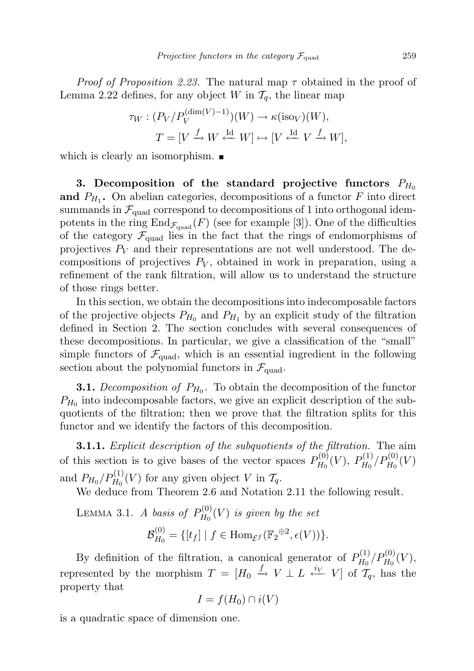*Proof of Proposition 2.23.* The natural map  $\tau$  obtained in the proof of Lemma 2.22 defines, for any object W in  $\mathcal{T}_q$ , the linear map

$$
\tau_W : (P_V/P_V^{(\dim(V)-1)})(W) \to \kappa(\text{iso}_V)(W),
$$
  
\n
$$
T = [V \xrightarrow{f} W \xleftarrow{\text{Id}} W] \mapsto [V \xleftarrow{\text{Id}} V \xrightarrow{f} W],
$$

which is clearly an isomorphism.  $\blacksquare$ 

3. Decomposition of the standard projective functors  $P_{H_0}$ and  $P_{H_1}$ . On abelian categories, decompositions of a functor F into direct summands in  $\mathcal{F}_{quad}$  correspond to decompositions of 1 into orthogonal idempotents in the ring  $\text{End}_{\mathcal{F}_{quad}}(F)$  (see for example [3]). One of the difficulties of the category  $\mathcal{F}_{quad}$  lies in the fact that the rings of endomorphisms of projectives  $P_V$  and their representations are not well understood. The decompositions of projectives  $P_V$ , obtained in work in preparation, using a refinement of the rank filtration, will allow us to understand the structure of those rings better.

In this section, we obtain the decompositions into indecomposable factors of the projective objects  $P_{H_0}$  and  $P_{H_1}$  by an explicit study of the filtration defined in Section 2. The section concludes with several consequences of these decompositions. In particular, we give a classification of the "small" simple functors of  $\mathcal{F}_{quad}$ , which is an essential ingredient in the following section about the polynomial functors in  $\mathcal{F}_{quad}$ .

**3.1.** Decomposition of  $P_{H_0}$ . To obtain the decomposition of the functor  $P_{H_0}$  into indecomposable factors, we give an explicit description of the subquotients of the filtration; then we prove that the filtration splits for this functor and we identify the factors of this decomposition.

**3.1.1.** Explicit description of the subquotients of the filtration. The aim of this section is to give bases of the vector spaces  $P_{H_0}^{(0)}$  $P_{H_{0}}^{(0)}(V),\ P_{H_{0}}^{(1)}$  $P_{H_{0}}^{(1)}/P_{H_{0}}^{(0)}(V)$ and  $P_{H_0}/P_{H_0}^{(1)}(V)$  for any given object V in  $\mathcal{T}_q$ .

We deduce from Theorem 2.6 and Notation 2.11 the following result.

LEMMA 3.1. A basis of  $P_{H_0}^{(0)}$  $\mathcal{B}_{H_{0}}^{(0)}(V)$  is given by the set  ${\cal B}^{(0)}_{H_{\alpha}}$  $H_{H_0}^{(0)} = \{ [t_f] \mid f \in \text{Hom}_{\mathcal{E}^f}(\mathbb{F}_2^{\oplus 2}, \epsilon(V)) \}.$ 

By definition of the filtration, a canonical generator of  $P_{H_0}^{(1)}$  $P_{H_0}^{(1)}/P_{H_0}^{(0)}(V),$ represented by the morphism  $T = [H_0 \stackrel{f}{\rightarrow} V \perp L \stackrel{i_V}{\leftarrow} V]$  of  $T_q$ , has the property that

$$
I = f(H_0) \cap i(V)
$$

is a quadratic space of dimension one.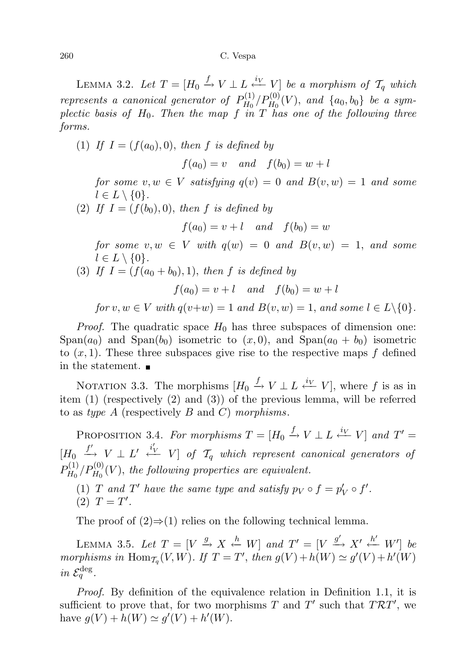LEMMA 3.2. Let  $T = [H_0 \xrightarrow{f} V \perp L \xleftarrow{i_V} V]$  be a morphism of  $\mathcal{T}_q$  which represents a canonical generator of  $P_{H_0}^{(1)}$  $\int_{H_0}^{(1)}/\underline{P}_{H_0}^{(0)}(V),$  and  $\{a_0,b_0\}$  be a symplectic basis of  $H_0$ . Then the map f in T has one of the following three forms.

(1) If  $I = (f(a_0), 0)$ , then f is defined by

 $f(a_0) = v$  and  $f(b_0) = w + l$ 

for some  $v, w \in V$  satisfying  $q(v) = 0$  and  $B(v, w) = 1$  and some  $l \in L \setminus \{0\}.$ 

(2) If  $I = (f(b_0), 0)$ , then f is defined by

 $f(a_0) = v + l$  and  $f(b_0) = w$ 

for some  $v, w \in V$  with  $q(w) = 0$  and  $B(v, w) = 1$ , and some  $l \in L \setminus \{0\}.$ 

(3) If  $I = (f(a_0 + b_0), 1)$ , then f is defined by

 $f(a_0) = v + l$  and  $f(b_0) = w + l$ 

for  $v, w \in V$  with  $q(v+w) = 1$  and  $B(v, w) = 1$ , and some  $l \in L \setminus \{0\}.$ 

*Proof.* The quadratic space  $H_0$  has three subspaces of dimension one: Span(a<sub>0</sub>) and Span(b<sub>0</sub>) isometric to  $(x, 0)$ , and Span(a<sub>0</sub> + b<sub>0</sub>) isometric to  $(x, 1)$ . These three subspaces give rise to the respective maps f defined in the statement.

NOTATION 3.3. The morphisms  $[H_0 \xrightarrow{f} V \perp L \xleftarrow{i_V} V]$ , where f is as in item (1) (respectively (2) and (3)) of the previous lemma, will be referred to as type A (respectively B and C) morphisms.

PROPOSITION 3.4. For morphisms  $T = [H_0 \xrightarrow{f} V \perp L \xleftarrow{i_V} V]$  and  $T' =$  $[H_0 \stackrel{f'}{\longrightarrow} V \perp L' \stackrel{i'_V}{\longleftarrow} V]$  of  $\mathcal{T}_q$  which represent canonical generators of  $P_{H_0}^{(1)}$  $H_{H_0}^{(1)}/P_{H_0}^{(0)}(V)$ , the following properties are equivalent.

(1) T and T' have the same type and satisfy  $p_V \circ f = p'_V \circ f'.$ (2)  $T = T'$ .

The proof of  $(2) \Rightarrow (1)$  relies on the following technical lemma.

LEMMA 3.5. Let  $T = [V \xrightarrow{g} X \stackrel{h}{\leftarrow} W]$  and  $T' = [V \xrightarrow{g'} X' \stackrel{h'}{\leftarrow} W']$  be morphisms in Hom $_{\mathcal{T}_q}(V, W)$ . If  $T = T'$ , then  $g(V) + h(W) \simeq g'(V) + h'(W)$ in  $\mathcal{E}_q^{\text{deg}}$ .

Proof. By definition of the equivalence relation in Definition 1.1, it is sufficient to prove that, for two morphisms T and T' such that  $T\mathcal{R}T'$ , we have  $g(V) + h(W) \simeq g'(V) + h'(W)$ .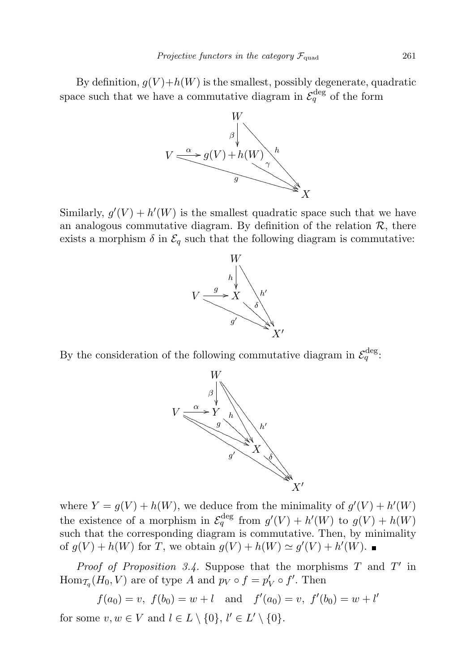By definition,  $g(V) + h(W)$  is the smallest, possibly degenerate, quadratic space such that we have a commutative diagram in  $\mathcal{E}_q^{\text{deg}}$  of the form



Similarly,  $g'(V) + h'(W)$  is the smallest quadratic space such that we have an analogous commutative diagram. By definition of the relation  $\mathcal{R}$ , there exists a morphism  $\delta$  in  $\mathcal{E}_q$  such that the following diagram is commutative:



By the consideration of the following commutative diagram in  $\mathcal{E}_q^{\text{deg}}$ :



where  $Y = g(V) + h(W)$ , we deduce from the minimality of  $g'(V) + h'(W)$ the existence of a morphism in  $\mathcal{E}_q^{\text{deg}}$  from  $g'(V) + h'(W)$  to  $g(V) + h(W)$ such that the corresponding diagram is commutative. Then, by minimality of  $g(V) + h(W)$  for T, we obtain  $g(V) + h(W) \simeq g'(V) + h'(W)$ .

*Proof of Proposition 3.4.* Suppose that the morphisms  $T$  and  $T'$  in  $\text{Hom}_{\mathcal{T}_q}(H_0, V)$  are of type A and  $p_V \circ f = p'_V \circ f'.$  Then

$$
f(a_0) = v
$$
,  $f(b_0) = w + l$  and  $f'(a_0) = v$ ,  $f'(b_0) = w + l'$ 

for some  $v, w \in V$  and  $l \in L \setminus \{0\}, l' \in L' \setminus \{0\}.$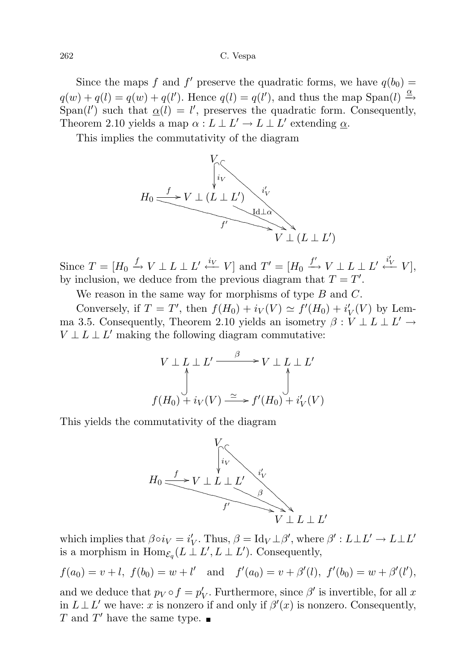### 262 C. Vespa

Since the maps f and f' preserve the quadratic forms, we have  $q(b_0)$  =  $q(w) + q(l) = q(w) + q(l')$ . Hence  $q(l) = q(l')$ , and thus the map Span $(l) \stackrel{\alpha}{\rightarrow}$ Span(l') such that  $\underline{\alpha}(l) = l'$ , preserves the quadratic form. Consequently, Theorem 2.10 yields a map  $\alpha: L \perp L' \to L \perp L'$  extending  $\underline{\alpha}$ .

This implies the commutativity of the diagram



Since  $T = [H_0 \xrightarrow{f} V \perp L \perp L' \xleftarrow{i_V} V]$  and  $T' = [H_0 \xrightarrow{f'} V \perp L \perp L' \xleftarrow{i_V'} V]$ , by inclusion, we deduce from the previous diagram that  $T = T'$ .

We reason in the same way for morphisms of type  $B$  and  $C$ .

Conversely, if  $T = T'$ , then  $f(H_0) + i_V(V) \simeq f'(H_0) + i'_V(V)$  by Lemma 3.5. Consequently, Theorem 2.10 yields an isometry  $\beta: V \perp L \perp L' \rightarrow$  $V \perp L \perp L'$  making the following diagram commutative:

$$
V \perp L \perp L' \xrightarrow{\beta} V \perp L \perp L'
$$
  

$$
\downarrow f(H_0) + i_V(V) \xrightarrow{\simeq} f'(H_0) + i'_V(V)
$$

This yields the commutativity of the diagram



which implies that  $\beta \circ i_V = i'_V$ . Thus,  $\beta = \text{Id}_V \perp \beta'$ , where  $\beta' : L \perp L' \to L \perp L'$ is a morphism in  $\text{Hom}_{\mathcal{E}_q}(L\perp L', L\perp L')$ . Consequently,

$$
f(a_0) = v + l
$$
,  $f(b_0) = w + l'$  and  $f'(a_0) = v + \beta'(l)$ ,  $f'(b_0) = w + \beta'(l')$ ,

and we deduce that  $p_V \circ f = p'_V$ . Furthermore, since  $\beta'$  is invertible, for all x in  $L \perp L'$  we have: x is nonzero if and only if  $\beta'(x)$  is nonzero. Consequently,  $T$  and  $T'$  have the same type.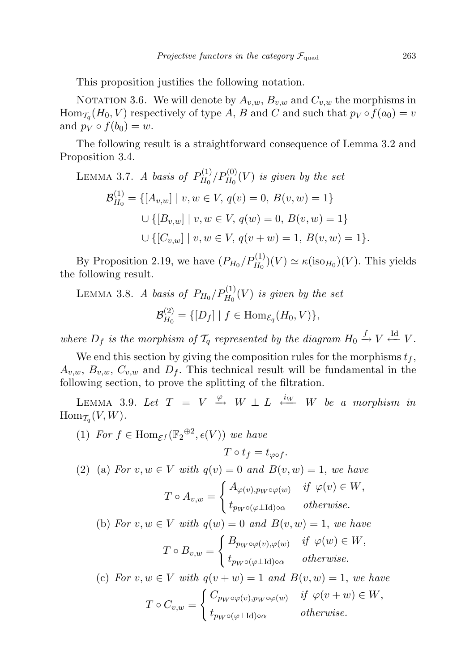This proposition justifies the following notation.

NOTATION 3.6. We will denote by  $A_{v,w}$ ,  $B_{v,w}$  and  $C_{v,w}$  the morphisms in  $\text{Hom}_{\mathcal{T}_q}(H_0,V)$  respectively of type A, B and C and such that  $p_V \circ f(a_0) = v$ and  $p_V \circ f(b_0) = w$ .

The following result is a straightforward consequence of Lemma 3.2 and Proposition 3.4.

LEMMA 3.7. A basis of 
$$
P_{H_0}^{(1)}/P_{H_0}^{(0)}(V)
$$
 is given by the set  
\n
$$
\mathcal{B}_{H_0}^{(1)} = \{ [A_{v,w}] \mid v, w \in V, q(v) = 0, B(v, w) = 1 \}
$$
\n
$$
\cup \{ [B_{v,w}] \mid v, w \in V, q(w) = 0, B(v, w) = 1 \}
$$
\n
$$
\cup \{ [C_{v,w}] \mid v, w \in V, q(v + w) = 1, B(v, w) = 1 \}.
$$

By Proposition 2.19, we have  $(P_{H_0}/P_{H_0}^{(1)})(V) \simeq \kappa(\text{iso}_{H_0})(V)$ . This yields the following result.

LEMMA 3.8. A basis of  $P_{H_0}/P_{H_0}^{(1)}(V)$  is given by the set  ${\cal B}^{(2)}_{H_{\alpha}}$  $H_{H_0}^{(2)} = \{ [D_f] | f \in \text{Hom}_{\mathcal{E}_q}(H_0, V) \},$ 

where  $D_f$  is the morphism of  $\mathcal{T}_q$  represented by the diagram  $H_0 \xrightarrow{f} V \xleftarrow{\text{Id}} V$ .

We end this section by giving the composition rules for the morphisms  $t_f$ ,  $A_{v,w}, B_{v,w}, C_{v,w}$  and  $D_f$ . This technical result will be fundamental in the following section, to prove the splitting of the filtration.

LEMMA 3.9. Let  $T = V \stackrel{\varphi}{\rightarrow} W \perp L \stackrel{i_{W}}{\leftarrow} W$  be a morphism in  $\text{Hom}_{\mathcal{T}_q}(V,W)$ .

(1) For  $f \in \text{Hom}_{\mathcal{E}^f}(\mathbb{F}_2^{\oplus 2}, \epsilon(V))$  we have

$$
T\circ t_f=t_{\varphi\circ f}.
$$

(2) (a) For  $v, w \in V$  with  $q(v) = 0$  and  $B(v, w) = 1$ , we have

$$
T \circ A_{v,w} = \begin{cases} A_{\varphi(v), pw \circ \varphi(w)} & \text{if } \varphi(v) \in W, \\ t_{pw \circ (\varphi \perp \text{Id}) \circ \alpha} & \text{otherwise.} \end{cases}
$$

(b) For  $v, w \in V$  with  $q(w) = 0$  and  $B(v, w) = 1$ , we have

$$
T \circ B_{v,w} = \begin{cases} B_{p_W \circ \varphi(v), \varphi(w)} & \text{if } \varphi(w) \in W, \\ t_{p_W \circ (\varphi \perp \mathrm{Id}) \circ \alpha} & otherwise. \end{cases}
$$

(c) For  $v, w \in V$  with  $q(v + w) = 1$  and  $B(v, w) = 1$ , we have  $T\circ C_{v,w}=$  $\int C_{p_W \circ \varphi(v), p_W \circ \varphi(w)}$  if  $\varphi(v+w) \in W$ ,  $t_{p_W \circ (\varphi \perp \mathrm{Id}) \circ \alpha}$  otherwise.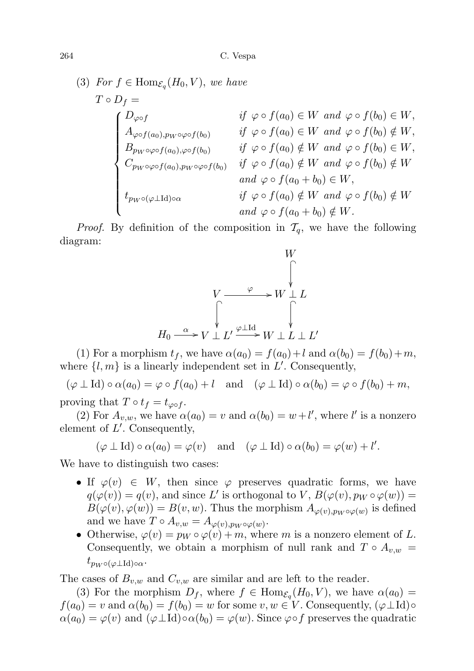(3) For 
$$
f \in \text{Hom}_{\mathcal{E}_q}(H_0, V)
$$
, we have  
\n
$$
T \circ D_f = \qquad \qquad \text{if } \varphi \circ f(a_0) \in W \text{ and } \varphi \circ f(b_0) \in W,
$$
\n
$$
A_{\varphi \circ f(a_0), p_W \circ \varphi \circ f(b_0)} \qquad \text{if } \varphi \circ f(a_0) \in W \text{ and } \varphi \circ f(b_0) \notin W,
$$
\n
$$
B_{p_W \circ \varphi \circ f(a_0), \varphi \circ f(b_0)} \qquad \text{if } \varphi \circ f(a_0) \notin W \text{ and } \varphi \circ f(b_0) \in W,
$$
\n
$$
C_{p_W \circ \varphi \circ f(a_0), p_W \circ \varphi \circ f(b_0)} \qquad \text{if } \varphi \circ f(a_0) \notin W \text{ and } \varphi \circ f(b_0) \notin W
$$
\n
$$
\text{and } \varphi \circ f(a_0 + b_0) \in W,
$$
\n
$$
\text{if } \varphi \circ f(a_0) \notin W \text{ and } \varphi \circ f(b_0) \notin W
$$
\n
$$
\text{and } \varphi \circ f(a_0 + b_0) \notin W.
$$

*Proof.* By definition of the composition in  $\mathcal{T}_q$ , we have the following diagram:



(1) For a morphism  $t_f$ , we have  $\alpha(a_0) = f(a_0) + l$  and  $\alpha(b_0) = f(b_0) + m$ , where  $\{l, m\}$  is a linearly independent set in  $L'$ . Consequently,

 $(\varphi \perp \mathrm{Id}) \circ \alpha(a_0) = \varphi \circ f(a_0) + l$  and  $(\varphi \perp \mathrm{Id}) \circ \alpha(b_0) = \varphi \circ f(b_0) + m$ , proving that  $T \circ t_f = t_{\varphi \circ f}$ .

(2) For  $A_{v,w}$ , we have  $\alpha(a_0) = v$  and  $\alpha(b_0) = w + l'$ , where l' is a nonzero element of  $L'$ . Consequently,

 $(\varphi \perp \mathrm{Id}) \circ \alpha(a_0) = \varphi(v)$  and  $(\varphi \perp \mathrm{Id}) \circ \alpha(b_0) = \varphi(w) + l'.$ 

We have to distinguish two cases:

- If  $\varphi(v) \in W$ , then since  $\varphi$  preserves quadratic forms, we have  $q(\varphi(v)) = q(v)$ , and since L' is orthogonal to V,  $B(\varphi(v), p_W \circ \varphi(w)) =$  $B(\varphi(v), \varphi(w)) = B(v, w)$ . Thus the morphism  $A_{\varphi(v), p_W \circ \varphi(w)}$  is defined and we have  $T \circ A_{v,w} = A_{\varphi(v),pw \circ \varphi(w)}$ .
- Otherwise,  $\varphi(v) = p_W \circ \varphi(v) + m$ , where m is a nonzero element of L. Consequently, we obtain a morphism of null rank and  $T \circ A_{v,w} =$  $t_{p_W \circ (\varphi \perp \mathrm{Id}) \circ \alpha}$ .

The cases of  $B_{v,w}$  and  $C_{v,w}$  are similar and are left to the reader.

(3) For the morphism  $D_f$ , where  $f \in \text{Hom}_{\mathcal{E}_q}(H_0, V)$ , we have  $\alpha(a_0)$  =  $f(a_0) = v$  and  $\alpha(b_0) = f(b_0) = w$  for some  $v, w \in V$ . Consequently,  $(\varphi \perp \mathrm{Id}) \circ$  $\alpha(a_0) = \varphi(v)$  and  $(\varphi \perp \mathrm{Id}) \circ \alpha(b_0) = \varphi(w)$ . Since  $\varphi \circ f$  preserves the quadratic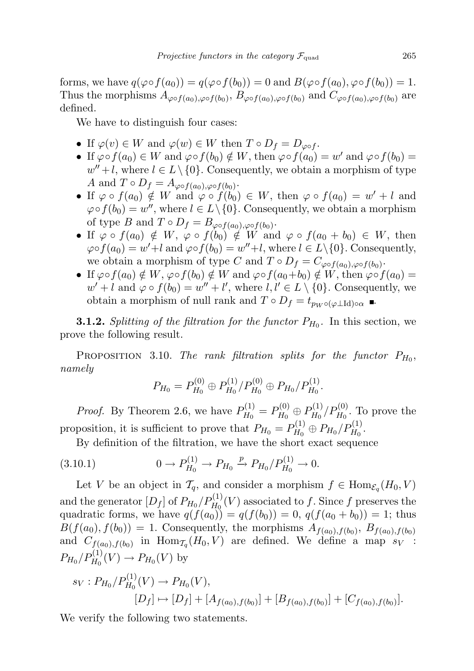forms, we have  $q(\varphi \circ f(a_0)) = q(\varphi \circ f(b_0)) = 0$  and  $B(\varphi \circ f(a_0), \varphi \circ f(b_0)) = 1$ . Thus the morphisms  $A_{\varphi \circ f(a_0),\varphi \circ f(b_0)}$ ,  $B_{\varphi \circ f(a_0),\varphi \circ f(b_0)}$  and  $C_{\varphi \circ f(a_0),\varphi \circ f(b_0)}$  are defined.

We have to distinguish four cases:

- If  $\varphi(v) \in W$  and  $\varphi(w) \in W$  then  $T \circ D_f = D_{\varphi \circ f}$ .
- If  $\varphi \circ f(a_0) \in W$  and  $\varphi \circ f(b_0) \notin W$ , then  $\varphi \circ f(a_0) = w'$  and  $\varphi \circ f(b_0) =$  $w'' + l$ , where  $l \in L \setminus \{0\}$ . Consequently, we obtain a morphism of type A and  $T \circ D_f = A_{\varphi \circ f(a_0), \varphi \circ f(b_0)}$ .
- If  $\varphi \circ f(a_0) \notin W$  and  $\varphi \circ f(b_0) \in W$ , then  $\varphi \circ f(a_0) = w' + l$  and  $\varphi \circ f(b_0) = w''$ , where  $l \in L \setminus \{0\}$ . Consequently, we obtain a morphism of type B and  $T \circ D_f = B_{\varphi \circ f(a_0), \varphi \circ f(b_0)}$ .
- If  $\varphi \circ f(a_0) \notin W$ ,  $\varphi \circ f(b_0) \notin W$  and  $\varphi \circ f(a_0 + b_0) \in W$ , then  $\varphi \circ f(a_0) = w' + l$  and  $\varphi \circ f(b_0) = w'' + l$ , where  $l \in L \setminus \{0\}$ . Consequently, we obtain a morphism of type C and  $T \circ D_f = C_{\varphi \circ f(a_0), \varphi \circ f(b_0)}$ .
- If  $\varphi \circ f(a_0) \notin W$ ,  $\varphi \circ f(b_0) \notin W$  and  $\varphi \circ f(a_0+b_0) \notin W$ , then  $\varphi \circ f(a_0) =$  $w' + l$  and  $\varphi \circ f(b_0) = w'' + l'$ , where  $l, l' \in L \setminus \{0\}$ . Consequently, we obtain a morphism of null rank and  $T \circ D_f = t_{p_W \circ (\varphi \perp \mathrm{Id}) \circ \alpha}$

**3.1.2.** Splitting of the filtration for the functor  $P_{H_0}$ . In this section, we prove the following result.

PROPOSITION 3.10. The rank filtration splits for the functor  $P_{H_0}$ , namely

$$
P_{H_0}=P_{H_0}^{(0)}\oplus P_{H_0}^{(1)}/P_{H_0}^{(0)}\oplus P_{H_0}/P_{H_0}^{(1)}.
$$

*Proof.* By Theorem 2.6, we have  $P_{H_0}^{(1)}$  $P_{H_0}^{(1)} = P_{H_0}^{(0)}$  $P_{H_0}^{(0)}\oplus P_{H_0}^{(1)}$  $P_{H_0}^{(1)}/P_{H_0}^{(0)}$ . To prove the proposition, it is sufficient to prove that  $P_{H_0} = P_{H_0}^{(1)}$  $P_{H_0}^{(1)} \oplus P_{H_0}/P_{H_0}^{(1)}.$ 

By definition of the filtration, we have the short exact sequence

$$
(3.10.1) \t\t 0 \to P_{H_0}^{(1)} \to P_{H_0} \xrightarrow{p} P_{H_0}/P_{H_0}^{(1)} \to 0.
$$

Let V be an object in  $\mathcal{T}_q$ , and consider a morphism  $f \in \text{Hom}_{\mathcal{E}_q}(H_0, V)$ and the generator  $[D_f]$  of  $P_{H_0}/P_{H_0}^{(1)}(V)$  associated to f. Since f preserves the quadratic forms, we have  $q(f(a_0)) = q(f(b_0)) = 0, q(f(a_0 + b_0)) = 1$ ; thus  $B(f(a_0), f(b_0)) = 1$ . Consequently, the morphisms  $A_{f(a_0), f(b_0)}, B_{f(a_0), f(b_0)}$ and  $C_{f(a_0),f(b_0)}$  in  $\text{Hom}_{\mathcal{T}_q}(H_0,V)$  are defined. We define a map  $s_V$ :  $P_{H_0}/P_{H_0}^{(1)}(V) \to P_{H_0}(V)$  by

$$
s_V: P_{H_0}/P_{H_0}^{(1)}(V) \to P_{H_0}(V),
$$
  
\n
$$
[D_f] \to [D_f] + [A_{f(a_0), f(b_0)}] + [B_{f(a_0), f(b_0)}] + [C_{f(a_0), f(b_0)}].
$$

We verify the following two statements.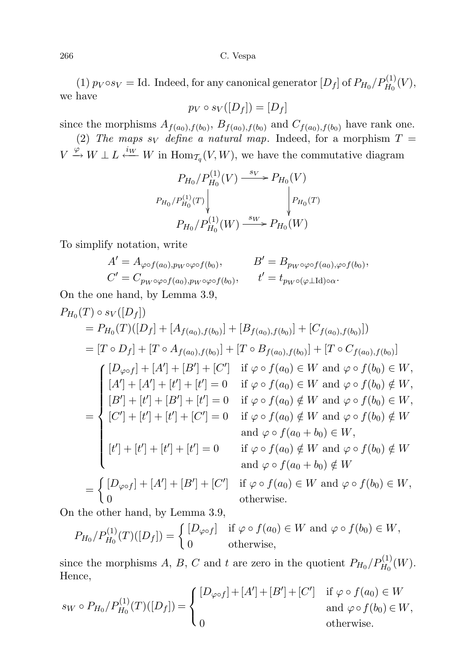266 C. Vespa

(1)  $p_V \circ s_V = \text{Id. Indeed, for any canonical generator } [D_f]$  of  $P_{H_0}/P_{H_0}^{(1)}(V)$ , we have

$$
p_V \circ s_V([D_f]) = [D_f]
$$

since the morphisms  $A_{f(a_0), f(b_0)}$ ,  $B_{f(a_0), f(b_0)}$  and  $C_{f(a_0), f(b_0)}$  have rank one. (2) The maps s<sub>V</sub> define a natural map. Indeed, for a morphism  $T =$ 

 $V \xrightarrow{\varphi} W \perp L \xleftarrow{i_W} W$  in  $\text{Hom}_{\mathcal{T}_q}(V, W)$ , we have the commutative diagram

$$
\begin{array}{c}\nP_{H_0}/P_{H_0}^{(1)}(V) \xrightarrow{\phantom{H_0} \quad s_V} \negthinspace P_{H_0}(V) \\
P_{H_0}/P_{H_0}^{(1)}(T) \Big\vert \qquad \qquad \downarrow \negthinspace P_{H_0}(T) \\
P_{H_0}/P_{H_0}^{(1)}(W) \xrightarrow{\phantom{H_0} \quad s_W} \negthinspace P_{H_0}(W)\n\end{array}
$$

To simplify notation, write

$$
A' = A_{\varphi \circ f(a_0), p_W \circ \varphi \circ f(b_0)}, \qquad B' = B_{p_W \circ \varphi \circ f(a_0), \varphi \circ f(b_0)},
$$
  

$$
C' = C_{p_W \circ \varphi \circ f(a_0), p_W \circ \varphi \circ f(b_0)}, \qquad t' = t_{p_W \circ (\varphi \perp \mathrm{Id}) \circ \alpha}.
$$

On the one hand, by Lemma 3.9,

$$
P_{H_0}(T) \circ s_V([D_f])
$$
  
\n
$$
= P_{H_0}(T)([D_f] + [A_{f(a_0), f(b_0)}] + [B_{f(a_0), f(b_0)}] + [C_{f(a_0), f(b_0)}])
$$
  
\n
$$
= [T \circ D_f] + [T \circ A_{f(a_0), f(b_0)}] + [T \circ B_{f(a_0), f(b_0)}] + [T \circ C_{f(a_0), f(b_0)}]
$$
  
\n
$$
\begin{cases}\n[D_{\varphi \circ f}] + [A'] + [B'] + [C'] & \text{if } \varphi \circ f(a_0) \in W \text{ and } \varphi \circ f(b_0) \in W, \\
[A'] + [A'] + [t'] + [t'] = 0 & \text{if } \varphi \circ f(a_0) \in W \text{ and } \varphi \circ f(b_0) \notin W, \\
[B'] + [t'] + [B'] + [t'] = 0 & \text{if } \varphi \circ f(a_0) \notin W \text{ and } \varphi \circ f(b_0) \in W, \\
[C'] + [t'] + [t'] + [C'] = 0 & \text{if } \varphi \circ f(a_0) \notin W \text{ and } \varphi \circ f(b_0) \notin W \\
\text{and } \varphi \circ f(a_0 + b_0) \in W, \\
[t'] + [t'] + [t'] + [t'] + [t'] = 0 & \text{if } \varphi \circ f(a_0) \notin W \text{ and } \varphi \circ f(b_0) \notin W \\
\text{and } \varphi \circ f(a_0 + b_0) \notin W \\
\text{and } \varphi \circ f(a_0 + b_0) \notin W \\
\text{and } \varphi \circ f(a_0) \in W \text{ and } \varphi \circ f(b_0) \in W, \\
0 & \text{otherwise.}\n\end{cases}
$$

On the other hand, by Lemma 3.9,

$$
P_{H_0}/P_{H_0}^{(1)}(T)([D_f]) = \begin{cases} [D_{\varphi \circ f}] & \text{if } \varphi \circ f(a_0) \in W \text{ and } \varphi \circ f(b_0) \in W, \\ 0 & \text{otherwise,} \end{cases}
$$

since the morphisms A, B, C and t are zero in the quotient  $P_{H_0}/P_{H_0}^{(1)}(W)$ . Hence,

$$
s_W \circ P_{H_0}/P_{H_0}^{(1)}(T)([D_f]) = \begin{cases} [D_{\varphi \circ f}] + [A'] + [B'] + [C'] & \text{if } \varphi \circ f(a_0) \in W \\ & \text{and } \varphi \circ f(b_0) \in W, \\ 0 & \text{otherwise.} \end{cases}
$$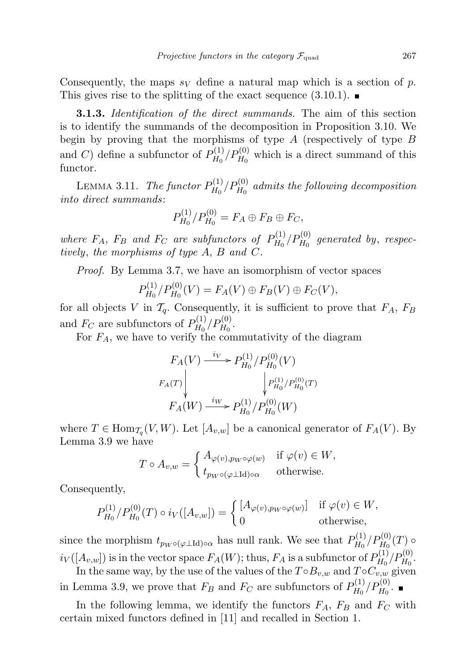Consequently, the maps  $s_V$  define a natural map which is a section of p. This gives rise to the splitting of the exact sequence  $(3.10.1)$ .

**3.1.3.** Identification of the direct summands. The aim of this section is to identify the summands of the decomposition in Proposition 3.10. We begin by proving that the morphisms of type  $A$  (respectively of type  $B$ and C) define a subfunctor of  $P_{H_0}^{(1)}$  $H_0^{(1)}/P_{H_0}^{(0)}$  which is a direct summand of this functor.

LEMMA 3.11. The functor  $P_{H_0}^{(1)}$  $H_{{\rm H}_0}^{(1)}/P_{{\rm H}_0}^{(0)}$  admits the following decomposition into direct summands:

$$
P_{H_0}^{(1)}/P_{H_0}^{(0)} = F_A \oplus F_B \oplus F_C,
$$

where  $F_A$ ,  $F_B$  and  $F_C$  are subfunctors of  $P_{H_0}^{(1)}$  $P_{H_0}^{(1)}/P_{H_0}^{(0)}$  generated by, respectively, the morphisms of type A, B and C.

Proof. By Lemma 3.7, we have an isomorphism of vector spaces

$$
P_{H_0}^{(1)}/P_{H_0}^{(0)}(V) = F_A(V) \oplus F_B(V) \oplus F_C(V),
$$

for all objects V in  $\mathcal{T}_q$ . Consequently, it is sufficient to prove that  $F_A$ ,  $F_B$ and  $F_C$  are subfunctors of  $P_{H_0}^{(1)}$  $P_{H_0}^{(1)}/P_{H_0}^{(0)}.$ 

For  $F_A$ , we have to verify the commutativity of the diagram

$$
F_A(V) \xrightarrow{i_V} P_{H_0}^{(1)}/P_{H_0}^{(0)}(V)
$$
  
\n
$$
F_A(T) \downarrow \qquad \qquad P_{H_0}^{(1)}/P_{H_0}^{(0)}(T)
$$
  
\n
$$
F_A(W) \xrightarrow{i_W} P_{H_0}^{(1)}/P_{H_0}^{(0)}(W)
$$

where  $T \in \text{Hom}_{\mathcal{T}_q}(V, W)$ . Let  $[A_{v,w}]$  be a canonical generator of  $F_A(V)$ . By Lemma 3.9 we have

$$
T \circ A_{v,w} = \begin{cases} A_{\varphi(v),pw \circ \varphi(w)} & \text{if } \varphi(v) \in W, \\ t_{pw \circ (\varphi \perp \mathrm{Id}) \circ \alpha} & \text{otherwise.} \end{cases}
$$

Consequently,

$$
P_{H_0}^{(1)}/P_{H_0}^{(0)}(T) \circ i_V([A_{v,w}]) = \begin{cases} [A_{\varphi(v),p_W \circ \varphi(w)}] & \text{if } \varphi(v) \in W, \\ 0 & \text{otherwise,} \end{cases}
$$

since the morphism  $t_{p_W \circ (\varphi \perp \mathrm{Id}) \circ \alpha}$  has null rank. We see that  $P_{H_0}^{(1)}$  $P_{H_{0}}^{(1)}/P_{H_{0}}^{(0)}(T)$  o  $i_V([A_{v,w}])$  is in the vector space  $F_A(W)$ ; thus,  $F_A$  is a subfunctor of  $P_{H_0}^{(1)}$  $P_{H_0}^{(1)}/P_{H_0}^{(0)}.$ 

In the same way, by the use of the values of the  $T \circ B_{v,w}$  and  $T \circ C_{v,w}$  given in Lemma 3.9, we prove that  $F_B$  and  $F_C$  are subfunctors of  $P_{H_0}^{(1)}$  $P_{H_0}^{(1)}/P_{H_0}^{(0)}.$ 

In the following lemma, we identify the functors  $F_A$ ,  $F_B$  and  $F_C$  with certain mixed functors defined in [11] and recalled in Section 1.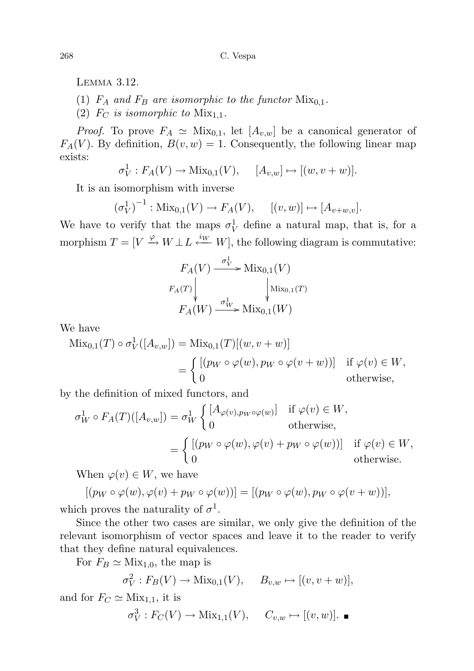Lemma 3.12.

(1)  $F_A$  and  $F_B$  are isomorphic to the functor  $Mix_{0,1}$ .

(2)  $F_C$  is isomorphic to  $Mix_{1,1}$ .

*Proof.* To prove  $F_A \simeq \text{Mix}_{0,1}$ , let  $[A_{v,w}]$  be a canonical generator of  $F_A(V)$ . By definition,  $B(v, w) = 1$ . Consequently, the following linear map exists:

$$
\sigma_V^1: F_A(V) \to \text{Mix}_{0,1}(V), \quad [A_{v,w}] \mapsto [(w, v+w)].
$$

It is an isomorphism with inverse

$$
(\sigma_V^1)^{-1}
$$
: Mix<sub>0,1</sub> $(V) \to F_A(V)$ ,  $[(v, w)] \mapsto [A_{v+w,v}]$ .

We have to verify that the maps  $\sigma_V^1$  define a natural map, that is, for a morphism  $T = [V \xrightarrow{\varphi} W \perp L \xleftarrow{iW} W]$ , the following diagram is commutative:

$$
F_A(V) \xrightarrow{\sigma_V^1} \text{Mix}_{0,1}(V)
$$
  

$$
F_A(T) \downarrow \qquad \qquad \downarrow \text{Mix}_{0,1}(T)
$$
  

$$
F_A(W) \xrightarrow{\sigma_W^1} \text{Mix}_{0,1}(W)
$$

We have

$$
\begin{aligned} \text{Mix}_{0,1}(T) \circ \sigma_V^1([A_{v,w}]) &= \text{Mix}_{0,1}(T)[(w,v+w)] \\ &= \begin{cases} \left[ (p_W \circ \varphi(w), p_W \circ \varphi(v+w)) \right] & \text{if } \varphi(v) \in W, \\ 0 & \text{otherwise,} \end{cases} \end{aligned}
$$

by the definition of mixed functors, and

$$
\sigma_W^1 \circ F_A(T)([A_{v,w}]) = \sigma_W^1 \begin{cases} [A_{\varphi(v), p_W \circ \varphi(w)}] & \text{if } \varphi(v) \in W, \\ 0 & \text{otherwise,} \end{cases}
$$
  
= 
$$
\begin{cases} [(p_W \circ \varphi(w), \varphi(v) + p_W \circ \varphi(w))] & \text{if } \varphi(v) \in W, \\ 0 & \text{otherwise.} \end{cases}
$$

When  $\varphi(v) \in W$ , we have

$$
[(p_W \circ \varphi(w), \varphi(v) + p_W \circ \varphi(w))] = [(p_W \circ \varphi(w), p_W \circ \varphi(v+w))],
$$

which proves the naturality of  $\sigma^1$ .

Since the other two cases are similar, we only give the definition of the relevant isomorphism of vector spaces and leave it to the reader to verify that they define natural equivalences.

For  $F_B \simeq \text{Mix}_{1,0}$ , the map is

$$
\sigma_V^2: F_B(V) \to \text{Mix}_{0,1}(V), \quad B_{v,w} \mapsto [(v, v+w)],
$$

and for  $F_C \simeq \text{Mix}_{1,1}$ , it is

$$
\sigma_V^3 : F_C(V) \to \text{Mix}_{1,1}(V), \quad C_{v,w} \mapsto [(v,w)].
$$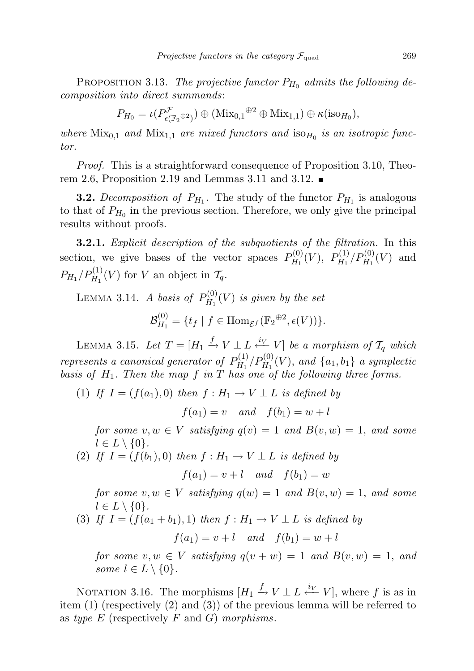PROPOSITION 3.13. The projective functor  $P_{H_0}$  admits the following decomposition into direct summands:

$$
P_{H_0} = \iota(P^{\mathcal{F}}_{\epsilon(\mathbb{F}_2 \oplus 2)}) \oplus (\text{Mix}_{0,1} \oplus 2 \oplus \text{Mix}_{1,1}) \oplus \kappa(\text{iso}_{H_0}),
$$

where  $Mix_{0,1}$  and  $Mix_{1,1}$  are mixed functors and  $iso_{H_0}$  is an isotropic functor.

Proof. This is a straightforward consequence of Proposition 3.10, Theorem 2.6, Proposition 2.19 and Lemmas 3.11 and 3.12.

**3.2.** Decomposition of  $P_{H_1}$ . The study of the functor  $P_{H_1}$  is analogous to that of  $P_{H_0}$  in the previous section. Therefore, we only give the principal results without proofs.

**3.2.1.** Explicit description of the subquotients of the filtration. In this section, we give bases of the vector spaces  $P_{H_1}^{(0)}$  $P_{H_1}^{(0)}(V),\,\,P_{H_1}^{(1)}$  $P_{H_1}^{(1)}/P_{H_1}^{(0)}(V)$  and  $P_{H_1}/P_{H_1}^{(1)}(V)$  for V an object in  $\mathcal{T}_q$ .

LEMMA 3.14. A basis of  $P_{H_1}^{(0)}$  $\mathcal{H}_H^{(0)}(V)$  is given by the set

$$
\mathcal{B}_{H_1}^{(0)} = \{t_f \mid f \in \text{Hom}_{\mathcal{E}^f}(\mathbb{F}_2^{\oplus 2}, \epsilon(V))\}.
$$

LEMMA 3.15. Let  $T = [H_1 \xrightarrow{f} V \perp L \xleftarrow{i_V} V]$  be a morphism of  $\mathcal{T}_q$  which represents a canonical generator of  $P_{H_1}^{(1)}$  $\binom{1}{H_1} P_{H_1}^{(0)}(V)$ , and  $\{a_1, b_1\}$  a symplectic basis of  $H_1$ . Then the map f in T has one of the following three forms.

(1) If  $I = (f(a_1), 0)$  then  $f : H_1 \to V \perp L$  is defined by

 $f(a_1) = v$  and  $f(b_1) = w + l$ 

for some  $v, w \in V$  satisfying  $q(v) = 1$  and  $B(v, w) = 1$ , and some  $l \in L \setminus \{0\}.$ 

(2) If  $I = (f(b_1), 0)$  then  $f : H_1 \to V \perp L$  is defined by  $f(a_1) = v + l$  and  $f(b_1) = w$ 

for some  $v, w \in V$  satisfying  $q(w) = 1$  and  $B(v, w) = 1$ , and some  $l \in L \setminus \{0\}.$ 

(3) If  $I = (f(a_1 + b_1), 1)$  then  $f : H_1 \rightarrow V \perp L$  is defined by

 $f(a_1) = v + l$  and  $f(b_1) = w + l$ 

for some  $v, w \in V$  satisfying  $q(v + w) = 1$  and  $B(v, w) = 1$ , and some  $l \in L \setminus \{0\}.$ 

NOTATION 3.16. The morphisms  $[H_1 \xrightarrow{f} V \perp L \xleftarrow{i_V} V]$ , where f is as in item (1) (respectively (2) and (3)) of the previous lemma will be referred to as type  $E$  (respectively  $F$  and  $G$ ) morphisms.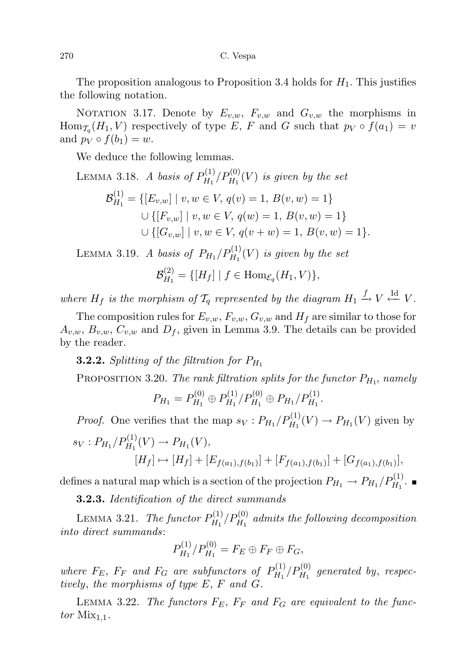270 C. Vespa

The proposition analogous to Proposition 3.4 holds for  $H_1$ . This justifies the following notation.

NOTATION 3.17. Denote by  $E_{v,w}$ ,  $F_{v,w}$  and  $G_{v,w}$  the morphisms in  $\text{Hom}_{\mathcal{T}_q}(H_1, V)$  respectively of type E, F and G such that  $p_V \circ f(a_1) = v$ and  $p_V \circ f(b_1) = w$ .

We deduce the following lemmas.

LEMMA 3.18. A basis of 
$$
P_{H_1}^{(1)}/P_{H_1}^{(0)}(V)
$$
 is given by the set  
\n
$$
\mathcal{B}_{H_1}^{(1)} = \{ [E_{v,w}] \mid v, w \in V, q(v) = 1, B(v, w) = 1 \}
$$
\n
$$
\cup \{ [F_{v,w}] \mid v, w \in V, q(w) = 1, B(v, w) = 1 \}
$$
\n
$$
\cup \{ [G_{v,w}] \mid v, w \in V, q(v + w) = 1, B(v, w) = 1 \}.
$$

LEMMA 3.19. A basis of  $P_{H_1}/P_{H_1}^{(1)}(V)$  is given by the set

 ${\cal B}^{(2)}_{H_1}$  $H_{H_1}^{(2)} = \{ [H_f] | f \in \text{Hom}_{\mathcal{E}_q}(H_1, V) \},$ 

where  $H_f$  is the morphism of  $\mathcal{T}_q$  represented by the diagram  $H_1 \xrightarrow{f} V \xleftarrow{\text{Id}} V$ .

The composition rules for  $E_{v,w}$ ,  $F_{v,w}$ ,  $G_{v,w}$  and  $H_f$  are similar to those for  $A_{v,w}, B_{v,w}, C_{v,w}$  and  $D_f$ , given in Lemma 3.9. The details can be provided by the reader.

**3.2.2.** Splitting of the filtration for  $P_{H_1}$ 

PROPOSITION 3.20. The rank filtration splits for the functor  $P_{H_1}$ , namely

$$
P_{H_1} = P_{H_1}^{(0)} \oplus P_{H_1}^{(1)} / P_{H_1}^{(0)} \oplus P_{H_1} / P_{H_1}^{(1)}.
$$

*Proof.* One verifies that the map  $s_V: P_{H_1}/P_{H_1}^{(1)}(V) \to P_{H_1}(V)$  given by  $s_V: P_{H_1}/P_{H_1}^{(1)}(V) \to P_{H_1}(V),$ 

$$
[H_f] \mapsto [H_f] + [E_{f(a_1),f(b_1)}] + [F_{f(a_1),f(b_1)}] + [G_{f(a_1),f(b_1)}],
$$

defines a natural map which is a section of the projection  $P_{H_1} \to P_{H_1}/P_{H_1}^{(1)}$ .

3.2.3. Identification of the direct summands

LEMMA 3.21. The functor  $P_{H_1}^{(1)}$  $\chi_{H_1}^{(1)}/P_{H_1}^{(0)}$  admits the following decomposition into direct summands:

$$
P_{H_1}^{(1)}/P_{H_1}^{(0)} = F_E \oplus F_F \oplus F_G,
$$

where  $F_E$ ,  $F_F$  and  $F_G$  are subfunctors of  $P_{H_1}^{(1)}$  $\mu_{H_1}^{(1)}/P_{H_1}^{(0)}$  generated by, respectively, the morphisms of type E, F and G.

LEMMA 3.22. The functors  $F_E$ ,  $F_F$  and  $F_G$  are equivalent to the functor  $Mix_{1,1}$ .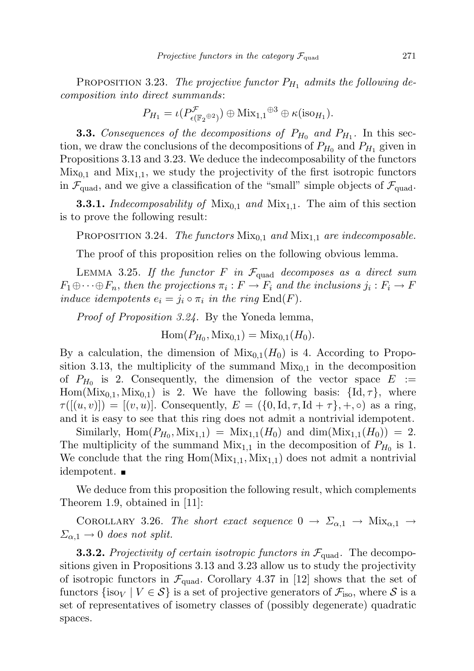PROPOSITION 3.23. The projective functor  $P_{H_1}$  admits the following decomposition into direct summands:

$$
P_{H_1} = \iota(P^{\mathcal{F}}_{\epsilon(\mathbb{F}_2 \oplus 2)}) \oplus \text{Mix}_{1,1} \oplus 3 \oplus \kappa(\text{iso}_{H_1}).
$$

**3.3.** Consequences of the decompositions of  $P_{H_0}$  and  $P_{H_1}$ . In this section, we draw the conclusions of the decompositions of  $P_{H_0}$  and  $P_{H_1}$  given in Propositions 3.13 and 3.23. We deduce the indecomposability of the functors  $Mix_{0,1}$  and  $Mix_{1,1}$ , we study the projectivity of the first isotropic functors in  $\mathcal{F}_{quad}$ , and we give a classification of the "small" simple objects of  $\mathcal{F}_{quad}$ .

**3.3.1.** Indecomposability of  $Mix_{0,1}$  and  $Mix_{1,1}$ . The aim of this section is to prove the following result:

PROPOSITION 3.24. The functors  $Mix_{0,1}$  and  $Mix_{1,1}$  are indecomposable.

The proof of this proposition relies on the following obvious lemma.

LEMMA 3.25. If the functor F in  $\mathcal{F}_{quad}$  decomposes as a direct sum  $F_1 \oplus \cdots \oplus F_n$ , then the projections  $\pi_i : F \to F_i$  and the inclusions  $j_i : F_i \to F$ induce idempotents  $e_i = j_i \circ \pi_i$  in the ring  $\text{End}(F)$ .

Proof of Proposition 3.24. By the Yoneda lemma,

 $\text{Hom}(P_{H_0}, \text{Mix}_{0,1}) = \text{Mix}_{0,1}(H_0).$ 

By a calculation, the dimension of  $Mix_{0,1}(H_0)$  is 4. According to Proposition 3.13, the multiplicity of the summand  $Mix_{0,1}$  in the decomposition of  $P_{H_0}$  is 2. Consequently, the dimension of the vector space  $E :=$  $Hom(Mix_{0,1}, Mix_{0,1})$  is 2. We have the following basis:  ${Id, \tau}$ , where  $\tau([u, v]) = [(v, u)]$ . Consequently,  $E = (\{0, \text{Id}, \tau, \text{Id} + \tau\}, +, \circ)$  as a ring, and it is easy to see that this ring does not admit a nontrivial idempotent.

Similarly,  $Hom(P_{H_0}, Mix_{1,1}) = Mix_{1,1}(H_0)$  and  $dim(Mix_{1,1}(H_0)) = 2$ . The multiplicity of the summand  $Mix_{1,1}$  in the decomposition of  $P_{H_0}$  is 1. We conclude that the ring  $Hom(Mix_{1,1}, Mix_{1,1})$  does not admit a nontrivial idempotent.

We deduce from this proposition the following result, which complements Theorem 1.9, obtained in [11]:

COROLLARY 3.26. The short exact sequence  $0 \to \Sigma_{\alpha,1} \to \text{Mix}_{\alpha,1} \to$  $\Sigma_{\alpha,1} \rightarrow 0$  does not split.

**3.3.2.** Projectivity of certain isotropic functors in  $\mathcal{F}_{quad}$ . The decompositions given in Propositions 3.13 and 3.23 allow us to study the projectivity of isotropic functors in  $\mathcal{F}_{quad}$ . Corollary 4.37 in [12] shows that the set of functors  $\{\text{iso}_V \mid V \in \mathcal{S}\}\$ is a set of projective generators of  $\mathcal{F}_{\text{iso}}$ , where  $\mathcal{S}$  is a set of representatives of isometry classes of (possibly degenerate) quadratic spaces.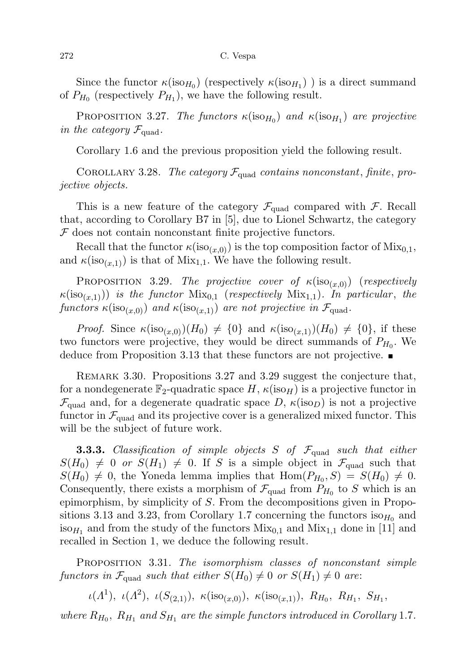Since the functor  $\kappa(\text{iso}_{H_0})$  (respectively  $\kappa(\text{iso}_{H_1})$ ) is a direct summand of  $P_{H_0}$  (respectively  $P_{H_1}$ ), we have the following result.

PROPOSITION 3.27. The functors  $\kappa(\text{iso}_{H_0})$  and  $\kappa(\text{iso}_{H_1})$  are projective in the category  $\mathcal{F}_{\text{quad}}$ .

Corollary 1.6 and the previous proposition yield the following result.

COROLLARY 3.28. The category  $\mathcal{F}_{quad}$  contains nonconstant, finite, projective objects.

This is a new feature of the category  $\mathcal{F}_{quad}$  compared with  $\mathcal{F}$ . Recall that, according to Corollary B7 in [5], due to Lionel Schwartz, the category  $F$  does not contain nonconstant finite projective functors.

Recall that the functor  $\kappa(\text{iso}_{(x,0)})$  is the top composition factor of  $\text{Mix}_{0,1}$ , and  $\kappa(\text{iso}_{(x,1)})$  is that of Mix<sub>1,1</sub>. We have the following result.

PROPOSITION 3.29. The projective cover of  $\kappa(\text{iso}_{(x,0)})$  (respectively  $\kappa(\text{iso}_{(x,1)})$ ) is the functor  $\text{Mix}_{0,1}$  (respectively  $\text{Mix}_{1,1}$ ). In particular, the functors  $\kappa(\text{iso}_{(x,0)})$  and  $\kappa(\text{iso}_{(x,1)})$  are not projective in  $\mathcal{F}_{\text{quad}}$ .

*Proof.* Since  $\kappa(\text{iso}_{(x,0)})(H_0) \neq \{0\}$  and  $\kappa(\text{iso}_{(x,1)})(H_0) \neq \{0\}$ , if these two functors were projective, they would be direct summands of  $P_{H_0}$ . We deduce from Proposition 3.13 that these functors are not projective.

Remark 3.30. Propositions 3.27 and 3.29 suggest the conjecture that, for a nondegenerate  $\mathbb{F}_2$ -quadratic space H,  $\kappa$ (iso<sub>H</sub>) is a projective functor in  $\mathcal{F}_{quad}$  and, for a degenerate quadratic space D,  $\kappa$ (iso<sub>D</sub>) is not a projective functor in  $\mathcal{F}_{quad}$  and its projective cover is a generalized mixed functor. This will be the subject of future work.

**3.3.3.** Classification of simple objects S of  $\mathcal{F}_{quad}$  such that either  $S(H_0) \neq 0$  or  $S(H_1) \neq 0$ . If S is a simple object in  $\mathcal{F}_{quad}$  such that  $S(H_0) \neq 0$ , the Yoneda lemma implies that  $Hom(P_{H_0}, S) = S(H_0) \neq 0$ . Consequently, there exists a morphism of  $\mathcal{F}_{quad}$  from  $P_{H_0}$  to S which is an epimorphism, by simplicity of S. From the decompositions given in Propositions 3.13 and 3.23, from Corollary 1.7 concerning the functors  $iso_{H_0}$  and iso<sub> $H_1$ </sub> and from the study of the functors  $Mix_{0,1}$  and  $Mix_{1,1}$  done in [11] and recalled in Section 1, we deduce the following result.

PROPOSITION 3.31. The isomorphism classes of nonconstant simple functors in  $\mathcal{F}_{quad}$  such that either  $S(H_0) \neq 0$  or  $S(H_1) \neq 0$  are:

 $\iota(\Lambda^1), \ \iota(\Lambda^2), \ \iota(S_{(2,1)}), \ \kappa(\text{iso}_{(x,0)}), \ \kappa(\text{iso}_{(x,1)}), \ R_{H_0}, \ R_{H_1}, \ S_{H_1},$ 

where  $R_{H_0}$ ,  $R_{H_1}$  and  $S_{H_1}$  are the simple functors introduced in Corollary 1.7.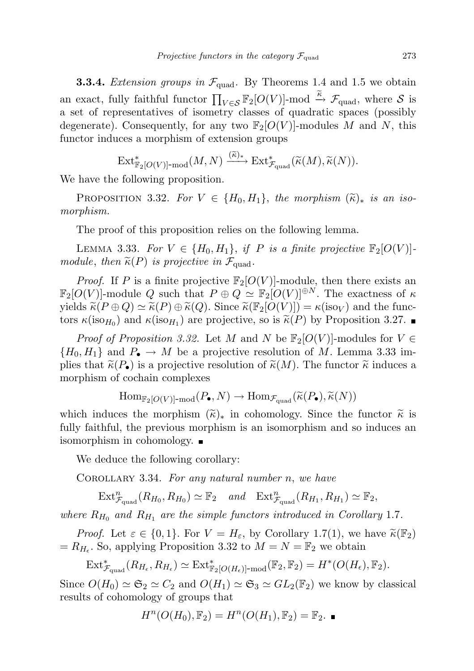**3.3.4.** Extension groups in  $\mathcal{F}_{quad}$ . By Theorems 1.4 and 1.5 we obtain an exact, fully faithful functor  $\prod_{V \in \mathcal{S}} \mathbb{F}_2[O(V)]$ -mod  $\stackrel{\tilde{\kappa}}{\to} \mathcal{F}_{\text{quad}}$ , where  $\mathcal{S}$  is a set of representatives of isometry classes of quadratic spaces (possibly degenerate). Consequently, for any two  $\mathbb{F}_2[O(V)]$ -modules M and N, this functor induces a morphism of extension groups

$$
\text{Ext}^*_{\mathbb{F}_2[O(V)] \text{-}\operatorname{mod}}(M, N) \xrightarrow{(\widetilde{\kappa})_*} \text{Ext}^*_{\mathcal{F}_{\text{quad}}}(\widetilde{\kappa}(M), \widetilde{\kappa}(N)).
$$

We have the following proposition.

PROPOSITION 3.32. For  $V \in \{H_0, H_1\}$ , the morphism  $(\widetilde{\kappa})_*$  is an isomorphism.

The proof of this proposition relies on the following lemma.

LEMMA 3.33. For  $V \in \{H_0, H_1\}$ , if P is a finite projective  $\mathbb{F}_2[O(V)]$ module, then  $\widetilde{\kappa}(P)$  is projective in  $\mathcal{F}_{\text{quad}}$ .

*Proof.* If P is a finite projective  $\mathbb{F}_2[O(V)]$ -module, then there exists an  $\mathbb{F}_2[O(V)]$ -module Q such that  $P \oplus Q \simeq \mathbb{F}_2[O(V)]^{\oplus N}$ . The exactness of  $\kappa$ yields  $\widetilde{\kappa}(P \oplus Q) \simeq \widetilde{\kappa}(P) \oplus \widetilde{\kappa}(Q)$ . Since  $\widetilde{\kappa}(\mathbb{F}_2[O(V)]) = \kappa(\text{iso}_V)$  and the functors  $\kappa(\text{iso}_{H_0})$  and  $\kappa(\text{iso}_{H_1})$  are projective, so is  $\tilde{\kappa}(P)$  by Proposition 3.27.

*Proof of Proposition 3.32.* Let M and N be  $\mathbb{F}_2[O(V)]$ -modules for  $V \in$  $\{H_0, H_1\}$  and  $P_{\bullet} \to M$  be a projective resolution of M. Lemma 3.33 implies that  $\tilde{\kappa}(P_{\bullet})$  is a projective resolution of  $\tilde{\kappa}(M)$ . The functor  $\tilde{\kappa}$  induces a morphism of cochain complexes

$$
\mathrm{Hom}_{\mathbb{F}_2[O(V)]\text{-}\mathrm{mod}}(P_\bullet, N) \to \mathrm{Hom}_{\mathcal{F}_{\mathrm{quad}}}(\widetilde{\kappa}(P_\bullet), \widetilde{\kappa}(N))
$$

which induces the morphism  $(\tilde{\kappa})_*$  in cohomology. Since the functor  $\tilde{\kappa}$  is fully faithful, the previous morphism is an isomorphism and so induces an isomorphism in cohomology.

We deduce the following corollary:

COROLLARY 3.34. For any natural number  $n$ , we have

 $\operatorname{Ext}^n_{\mathcal{F}_{\text{quad}}}(R_{H_0}, R_{H_0}) \simeq \mathbb{F}_2$  and  $\operatorname{Ext}^n_{\mathcal{F}_{\text{quad}}}(R_{H_1}, R_{H_1}) \simeq \mathbb{F}_2$ ,

where  $R_{H_0}$  and  $R_{H_1}$  are the simple functors introduced in Corollary 1.7.

*Proof.* Let  $\varepsilon \in \{0,1\}$ . For  $V = H_{\varepsilon}$ , by Corollary 1.7(1), we have  $\widetilde{\kappa}(\mathbb{F}_2)$  $= R_{H_{\epsilon}}$ . So, applying Proposition 3.32 to  $M = N = \mathbb{F}_2$  we obtain

 $\mathrm{Ext}^*_{\mathcal{F}_{\text{quad}}}(R_{H_{\epsilon}}, R_{H_{\epsilon}}) \simeq \mathrm{Ext}^*_{\mathbb{F}_2[O(H_{\epsilon})]\text{-}\mathrm{mod}}(\mathbb{F}_2, \mathbb{F}_2) = H^*(O(H_{\epsilon}), \mathbb{F}_2).$ 

Since  $O(H_0) \simeq \mathfrak{S}_2 \simeq C_2$  and  $O(H_1) \simeq \mathfrak{S}_3 \simeq GL_2(\mathbb{F}_2)$  we know by classical results of cohomology of groups that

$$
H^n(O(H_0), \mathbb{F}_2) = H^n(O(H_1), \mathbb{F}_2) = \mathbb{F}_2.
$$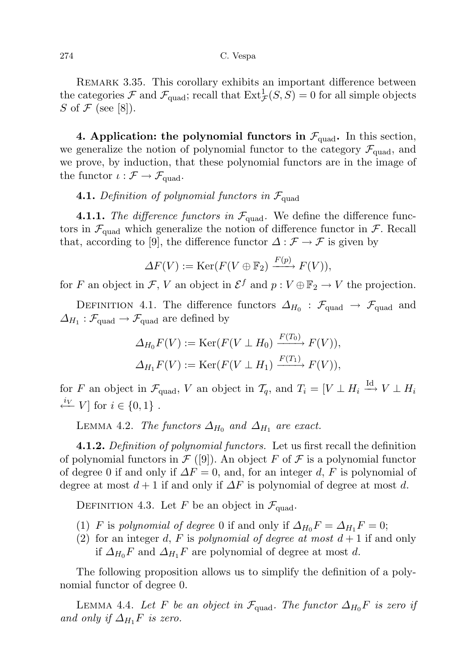REMARK 3.35. This corollary exhibits an important difference between the categories  $\mathcal F$  and  $\mathcal F_{\text{quad}}$ ; recall that  $\text{Ext}^1_{\mathcal F}(S,S) = 0$  for all simple objects S of  $\mathcal F$  (see [8]).

4. Application: the polynomial functors in  $\mathcal{F}_{quad}$ . In this section, we generalize the notion of polynomial functor to the category  $\mathcal{F}_{quad}$ , and we prove, by induction, that these polynomial functors are in the image of the functor  $\iota : \mathcal{F} \to \mathcal{F}_{quad}$ .

## **4.1.** Definition of polynomial functors in  $\mathcal{F}_{quad}$

**4.1.1.** The difference functors in  $\mathcal{F}_{quad}$ . We define the difference functors in  $\mathcal{F}_{\text{quad}}$  which generalize the notion of difference functor in  $\mathcal{F}$ . Recall that, according to [9], the difference functor  $\Delta : \mathcal{F} \to \mathcal{F}$  is given by

$$
\Delta F(V) := \text{Ker}(F(V \oplus \mathbb{F}_2) \xrightarrow{F(p)} F(V)),
$$

for F an object in F, V an object in  $\mathcal{E}^f$  and  $p: V \oplus \mathbb{F}_2 \to V$  the projection.

DEFINITION 4.1. The difference functors  $\Delta_{H_0}$ :  $\mathcal{F}_{\text{quad}} \rightarrow \mathcal{F}_{\text{quad}}$  and  $\Delta_{H_1} : \mathcal{F}_{\text{quad}} \to \mathcal{F}_{\text{quad}}$  are defined by

$$
\Delta_{H_0} F(V) := \text{Ker}(F(V \perp H_0) \xrightarrow{F(T_0)} F(V)),
$$
  

$$
\Delta_{H_1} F(V) := \text{Ker}(F(V \perp H_1) \xrightarrow{F(T_1)} F(V)),
$$

for F an object in  $\mathcal{F}_{\text{quad}}$ , V an object in  $\mathcal{T}_q$ , and  $T_i = [V \perp H_i \stackrel{\text{Id}}{\longrightarrow} V \perp H_i$  $\stackrel{i_V}{\longleftarrow} V$  for  $i \in \{0, 1\}$ .

LEMMA 4.2. The functors  $\Delta_{H_0}$  and  $\Delta_{H_1}$  are exact.

**4.1.2.** Definition of polynomial functors. Let us first recall the definition of polynomial functors in  $\mathcal{F}([9])$ . An object F of F is a polynomial functor of degree 0 if and only if  $\Delta F = 0$ , and, for an integer d, F is polynomial of degree at most  $d+1$  if and only if  $\Delta F$  is polynomial of degree at most d.

DEFINITION 4.3. Let F be an object in  $\mathcal{F}_{\text{quad}}$ .

- (1) F is polynomial of degree 0 if and only if  $\Delta_{H_0}F = \Delta_{H_1}F = 0;$
- (2) for an integer d, F is polynomial of degree at most  $d+1$  if and only if  $\Delta_{H_0}F$  and  $\Delta_{H_1}F$  are polynomial of degree at most d.

The following proposition allows us to simplify the definition of a polynomial functor of degree 0.

LEMMA 4.4. Let F be an object in  $\mathcal{F}_{quad}$ . The functor  $\Delta_{H_0}F$  is zero if and only if  $\Delta_{H_1}F$  is zero.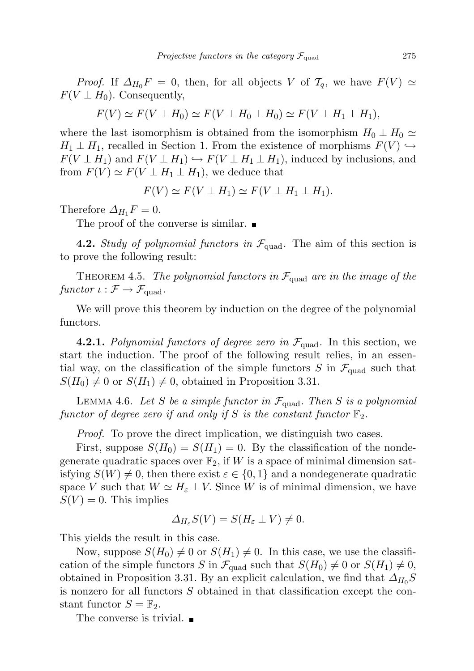*Proof.* If  $\Delta_{H_0} F = 0$ , then, for all objects V of  $\mathcal{T}_q$ , we have  $F(V) \simeq$  $F(V \perp H_0)$ . Consequently,

$$
F(V) \simeq F(V \perp H_0) \simeq F(V \perp H_0 \perp H_0) \simeq F(V \perp H_1 \perp H_1),
$$

where the last isomorphism is obtained from the isomorphism  $H_0 \perp H_0 \simeq$  $H_1 \perp H_1$ , recalled in Section 1. From the existence of morphisms  $F(V) \hookrightarrow$  $F(V \perp H_1)$  and  $F(V \perp H_1) \hookrightarrow F(V \perp H_1 \perp H_1)$ , induced by inclusions, and from  $F(V) \simeq F(V \perp H_1 \perp H_1)$ , we deduce that

$$
F(V) \simeq F(V \perp H_1) \simeq F(V \perp H_1 \perp H_1).
$$

Therefore  $\Delta_{H_1} F = 0$ .

The proof of the converse is similar.

**4.2.** Study of polynomial functors in  $\mathcal{F}_{quad}$ . The aim of this section is to prove the following result:

THEOREM 4.5. The polynomial functors in  $\mathcal{F}_{quad}$  are in the image of the functor  $\iota : \mathcal{F} \to \mathcal{F}_{quad}$ .

We will prove this theorem by induction on the degree of the polynomial functors.

**4.2.1.** Polynomial functors of degree zero in  $\mathcal{F}_{quad}$ . In this section, we start the induction. The proof of the following result relies, in an essential way, on the classification of the simple functors S in  $\mathcal{F}_{quad}$  such that  $S(H_0) \neq 0$  or  $S(H_1) \neq 0$ , obtained in Proposition 3.31.

LEMMA 4.6. Let S be a simple functor in  $\mathcal{F}_{quad}$ . Then S is a polynomial functor of degree zero if and only if S is the constant functor  $\mathbb{F}_2$ .

Proof. To prove the direct implication, we distinguish two cases.

First, suppose  $S(H_0) = S(H_1) = 0$ . By the classification of the nondegenerate quadratic spaces over  $\mathbb{F}_2$ , if W is a space of minimal dimension satisfying  $S(W) \neq 0$ , then there exist  $\varepsilon \in \{0,1\}$  and a nondegenerate quadratic space V such that  $W \simeq H_{\varepsilon} \perp V$ . Since W is of minimal dimension, we have  $S(V) = 0$ . This implies

$$
\Delta_{H_{\varepsilon}}S(V) = S(H_{\varepsilon} \perp V) \neq 0.
$$

This yields the result in this case.

Now, suppose  $S(H_0) \neq 0$  or  $S(H_1) \neq 0$ . In this case, we use the classification of the simple functors S in  $\mathcal{F}_{quad}$  such that  $S(H_0) \neq 0$  or  $S(H_1) \neq 0$ , obtained in Proposition 3.31. By an explicit calculation, we find that  $\Delta_{H_0}S$ is nonzero for all functors S obtained in that classification except the constant functor  $S = \mathbb{F}_2$ .

The converse is trivial.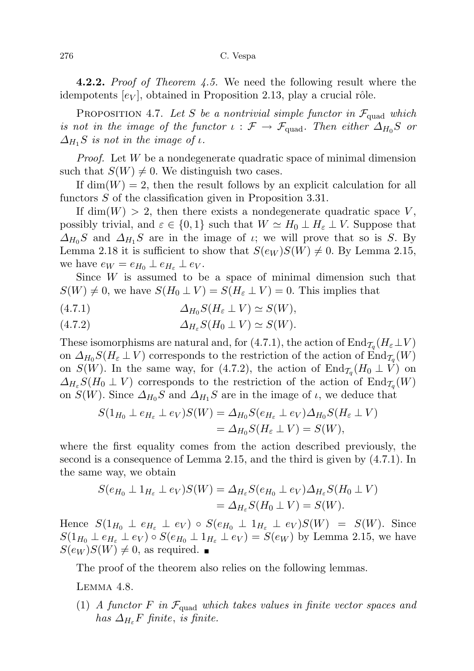**4.2.2.** Proof of Theorem 4.5. We need the following result where the idempotents  $[e_V]$ , obtained in Proposition 2.13, play a crucial rôle.

PROPOSITION 4.7. Let S be a nontrivial simple functor in  $\mathcal{F}_{quad}$  which is not in the image of the functor  $\iota : \mathcal{F} \to \mathcal{F}_{quad}$ . Then either  $\Delta_{H_0}S$  or  $\Delta_{H_1}S$  is not in the image of  $\iota$ .

Proof. Let W be a nondegenerate quadratic space of minimal dimension such that  $S(W) \neq 0$ . We distinguish two cases.

If  $\dim(W) = 2$ , then the result follows by an explicit calculation for all functors S of the classification given in Proposition 3.31.

If dim(W) > 2, then there exists a nondegenerate quadratic space V, possibly trivial, and  $\varepsilon \in \{0,1\}$  such that  $W \simeq H_0 \perp H_\varepsilon \perp V$ . Suppose that  $\Delta_{H_0}S$  and  $\Delta_{H_1}S$  are in the image of *ι*; we will prove that so is S. By Lemma 2.18 it is sufficient to show that  $S(\epsilon_W)S(W) \neq 0$ . By Lemma 2.15, we have  $e_W = e_{H_0} \perp e_{H_\varepsilon} \perp e_V$ .

Since  $W$  is assumed to be a space of minimal dimension such that  $S(W) \neq 0$ , we have  $S(H_0 \perp V) = S(H_{\varepsilon} \perp V) = 0$ . This implies that

(4.7.1)  $\Delta_{H_0} S(H_{\varepsilon} \perp V) \simeq S(W),$ 

$$
(4.7.2) \t\t \t\t \Delta_{H_{\varepsilon}} S(H_0 \perp V) \simeq S(W).
$$

These isomorphisms are natural and, for (4.7.1), the action of  $\mathrm{End}_{\mathcal{T}_q}(H_\varepsilon\bot V)$ on  $\Delta_{H_0} S(H_\varepsilon \perp V)$  corresponds to the restriction of the action of  $\text{End}_{\mathcal{T}_q}(W)$ on  $S(W)$ . In the same way, for (4.7.2), the action of  $\text{End}_{\mathcal{I}_q}(H_0 \perp V)$  on  $\Delta_{H_{\varepsilon}}S(H_0 \perp V)$  corresponds to the restriction of the action of  $\text{End}_{\mathcal{T}_q}(W)$ on  $S(W)$ . Since  $\Delta_{H_0}S$  and  $\Delta_{H_1}S$  are in the image of  $\iota$ , we deduce that

$$
S(1_{H_0} \perp e_{H_{\varepsilon}} \perp e_V)S(W) = \Delta_{H_0}S(e_{H_{\varepsilon}} \perp e_V)\Delta_{H_0}S(H_{\varepsilon} \perp V)
$$
  
=  $\Delta_{H_0}S(H_{\varepsilon} \perp V) = S(W),$ 

where the first equality comes from the action described previously, the second is a consequence of Lemma 2.15, and the third is given by (4.7.1). In the same way, we obtain

$$
S(e_{H_0} \perp 1_{H_{\varepsilon}} \perp e_V)S(W) = \Delta_{H_{\varepsilon}} S(e_{H_0} \perp e_V) \Delta_{H_{\varepsilon}} S(H_0 \perp V)
$$
  
=  $\Delta_{H_{\varepsilon}} S(H_0 \perp V) = S(W).$ 

Hence  $S(1_{H_0} \perp e_{H_{\varepsilon}} \perp e_V) \circ S(e_{H_0} \perp 1_{H_{\varepsilon}} \perp e_V)S(W) = S(W)$ . Since  $S(1_{H_0} \perp e_{H_{\varepsilon}} \perp e_V) \circ S(e_{H_0} \perp 1_{H_{\varepsilon}} \perp e_V) = S(e_W)$  by Lemma 2.15, we have  $S(e_W)S(W) \neq 0$ , as required.

The proof of the theorem also relies on the following lemmas.

LEMMA 4.8.

(1) A functor F in  $\mathcal{F}_{quad}$  which takes values in finite vector spaces and has  $\Delta_{H_{\varepsilon}}F$  finite, is finite.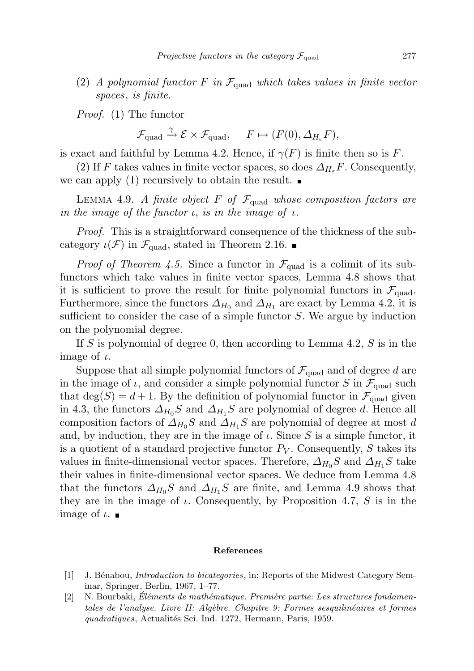(2) A polynomial functor F in  $\mathcal{F}_{quad}$  which takes values in finite vector spaces, is finite.

Proof. (1) The functor

$$
\mathcal{F}_{\text{quad}} \xrightarrow{\gamma} \mathcal{E} \times \mathcal{F}_{\text{quad}}, \quad F \mapsto (F(0), \Delta_{H_{\varepsilon}} F),
$$

is exact and faithful by Lemma 4.2. Hence, if  $\gamma(F)$  is finite then so is F.

(2) If F takes values in finite vector spaces, so does  $\Delta_{H_{\varepsilon}}F$ . Consequently, we can apply (1) recursively to obtain the result.

LEMMA 4.9. A finite object F of  $\mathcal{F}_{quad}$  whose composition factors are in the image of the functor  $\iota$ , is in the image of  $\iota$ .

Proof. This is a straightforward consequence of the thickness of the subcategory  $\iota(\mathcal{F})$  in  $\mathcal{F}_{\text{quad}}$ , stated in Theorem 2.16.

*Proof of Theorem 4.5.* Since a functor in  $\mathcal{F}_{quad}$  is a colimit of its subfunctors which take values in finite vector spaces, Lemma 4.8 shows that it is sufficient to prove the result for finite polynomial functors in  $\mathcal{F}_{quad}$ . Furthermore, since the functors  $\Delta_{H_0}$  and  $\Delta_{H_1}$  are exact by Lemma 4.2, it is sufficient to consider the case of a simple functor  $S$ . We argue by induction on the polynomial degree.

If S is polynomial of degree 0, then according to Lemma 4.2,  $S$  is in the image of  $\iota$ .

Suppose that all simple polynomial functors of  $\mathcal{F}_{quad}$  and of degree d are in the image of  $\iota$ , and consider a simple polynomial functor S in  $\mathcal{F}_{quad}$  such that  $deg(S) = d + 1$ . By the definition of polynomial functor in  $\mathcal{F}_{quad}$  given in 4.3, the functors  $\Delta_{H_0}S$  and  $\Delta_{H_1}S$  are polynomial of degree d. Hence all composition factors of  $\Delta_{H_0}S$  and  $\Delta_{H_1}S$  are polynomial of degree at most d and, by induction, they are in the image of  $\iota$ . Since S is a simple functor, it is a quotient of a standard projective functor  $P_V$ . Consequently, S takes its values in finite-dimensional vector spaces. Therefore,  $\Delta_{H_0}S$  and  $\Delta_{H_1}S$  take their values in finite-dimensional vector spaces. We deduce from Lemma 4.8 that the functors  $\Delta_{H_0}S$  and  $\Delta_{H_1}S$  are finite, and Lemma 4.9 shows that they are in the image of  $\iota$ . Consequently, by Proposition 4.7, S is in the image of  $\iota$ .

### References

- [1] J. Bénabou, *Introduction to bicategories*, in: Reports of the Midwest Category Seminar, Springer, Berlin, 1967, 1–77.
- [2] N. Bourbaki, Eléments de mathématique. Première partie: Les structures fondamentales de l'analyse. Livre II: Algèbre. Chapitre 9: Formes sesquilinéaires et formes quadratiques, Actualités Sci. Ind. 1272, Hermann, Paris, 1959.